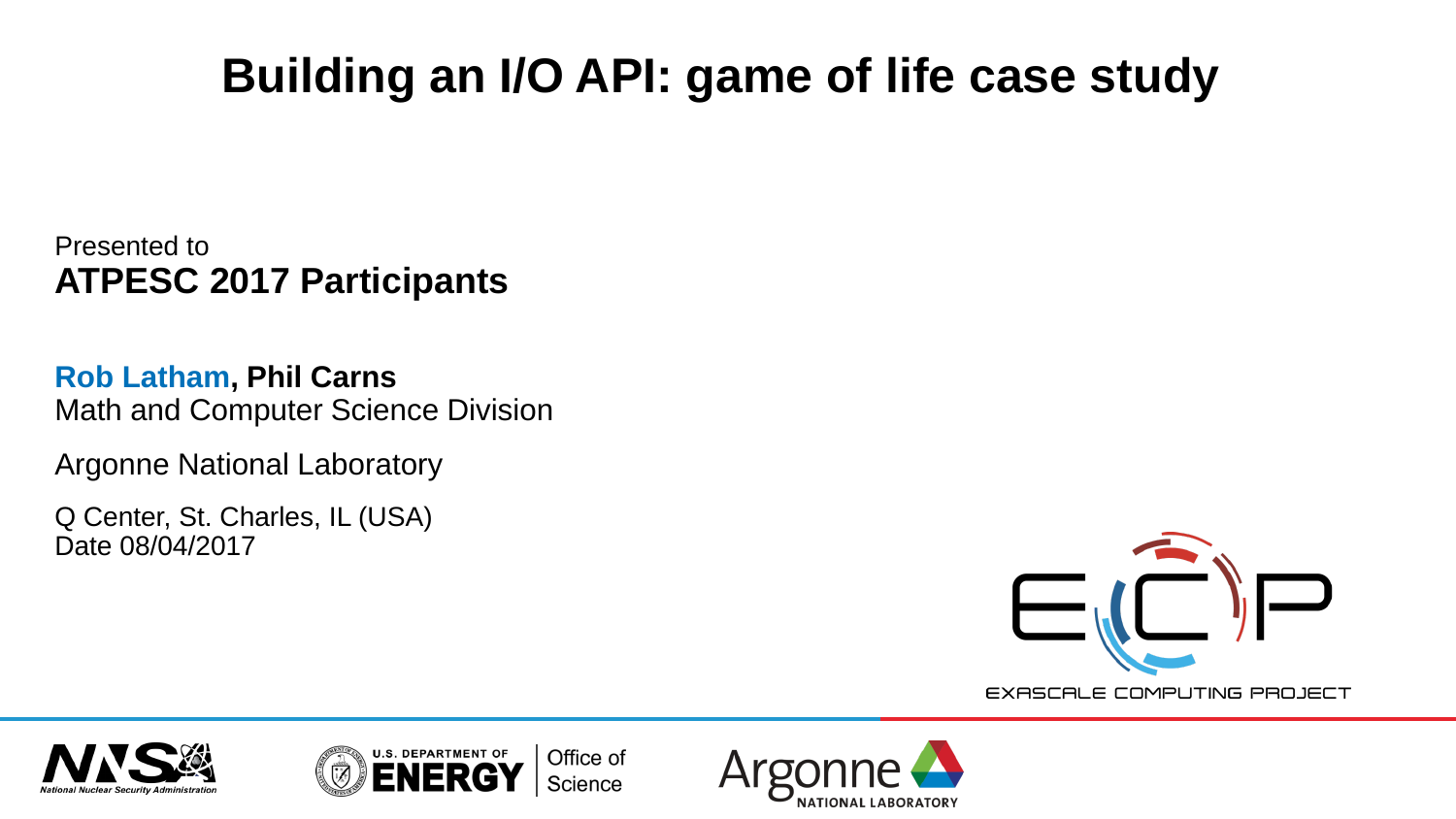# **Building an I/O API: game of life case study**

Presented to **ATPESC 2017 Participants**

**Rob Latham, Phil Carns** Math and Computer Science Division

Argonne National Laboratory

Q Center, St. Charles, IL (USA) Date 08/04/2017



EXASCALE COMPUTING PROJECT





Office of Science

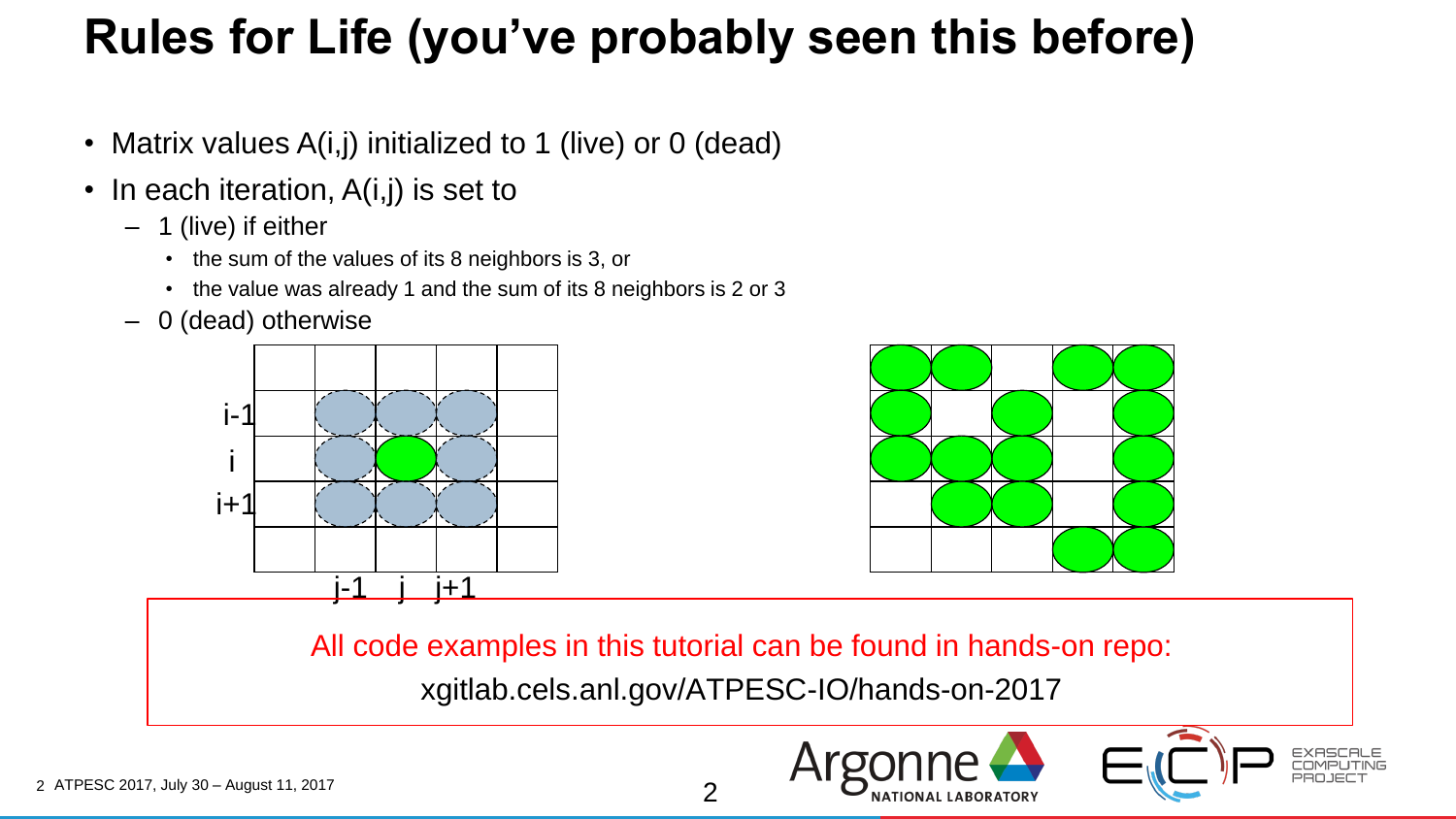#### **Rules for Life (you've probably seen this before)**

- Matrix values A(i,j) initialized to 1 (live) or 0 (dead)
- In each iteration, A(i,j) is set to
	- 1 (live) if either
		- the sum of the values of its 8 neighbors is 3, or
		- the value was already 1 and the sum of its 8 neighbors is 2 or 3
	- 0 (dead) otherwise





All code examples in this tutorial can be found in hands-on repo: xgitlab.cels.anl.gov/ATPESC-IO/hands-on-2017

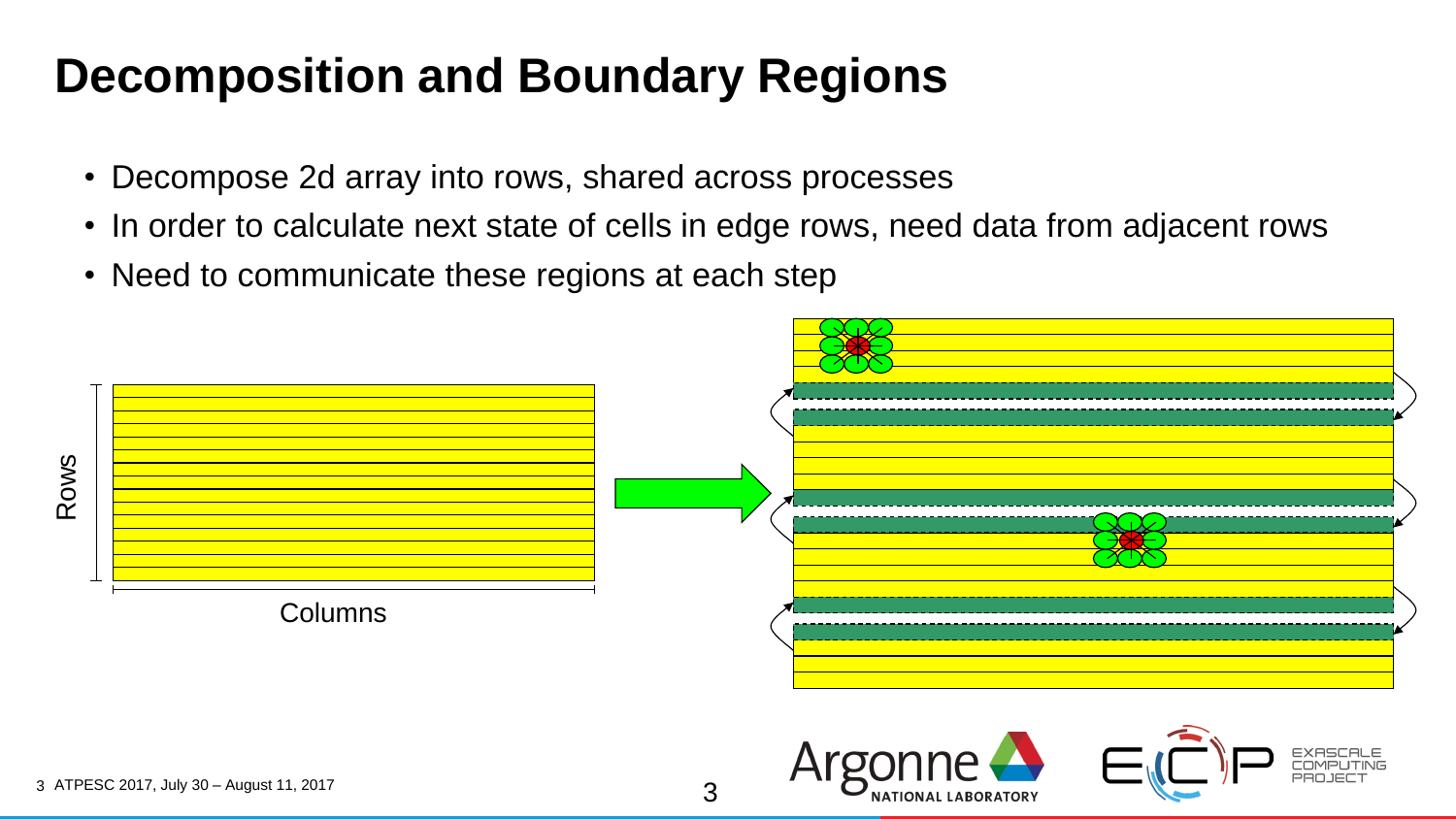#### **Decomposition and Boundary Regions**

- Decompose 2d array into rows, shared across processes
- In order to calculate next state of cells in edge rows, need data from adjacent rows
- Need to communicate these regions at each step



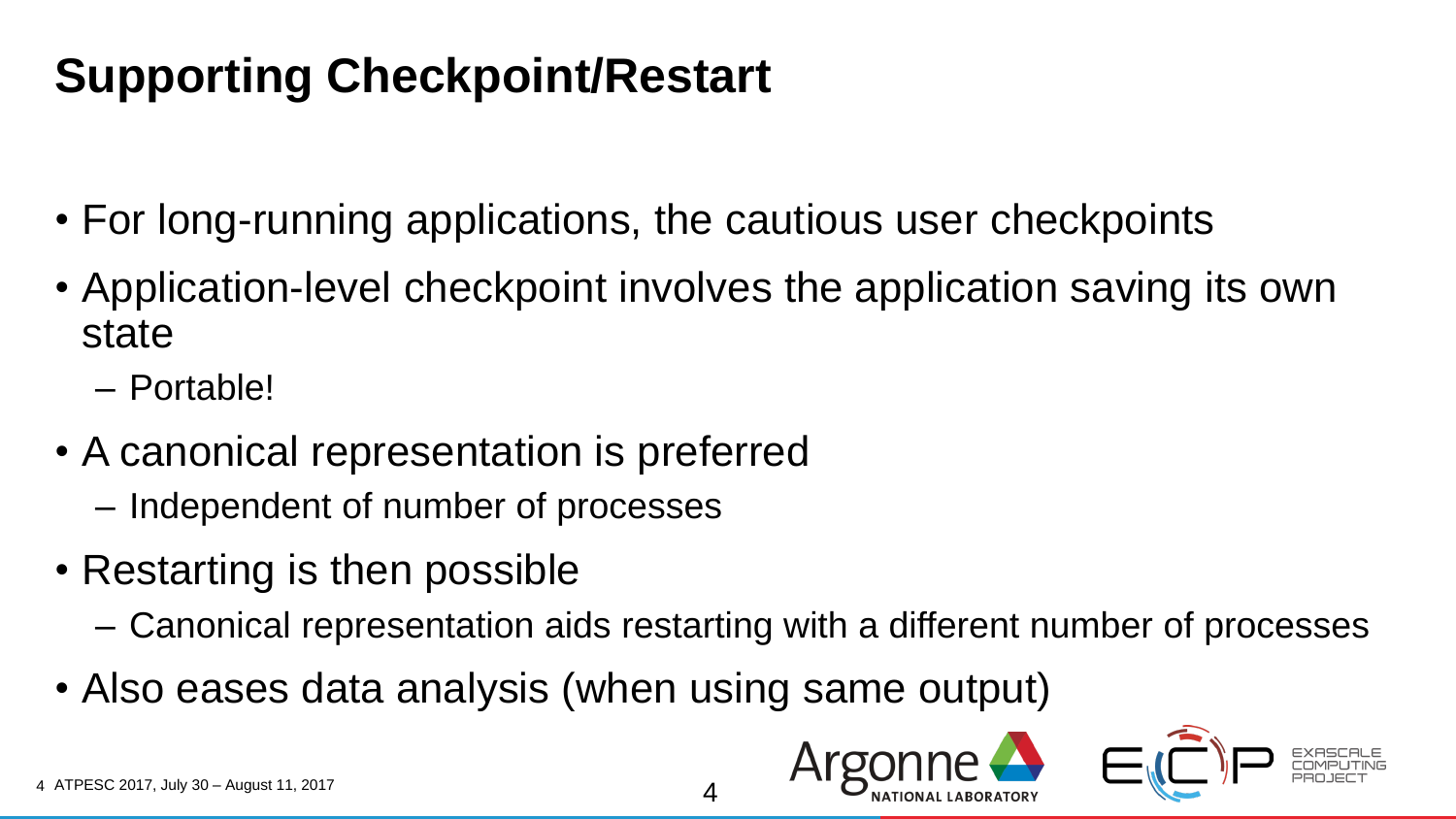### **Supporting Checkpoint/Restart**

- For long-running applications, the cautious user checkpoints
- Application-level checkpoint involves the application saving its own state
	- Portable!
- A canonical representation is preferred
	- Independent of number of processes
- Restarting is then possible
	- Canonical representation aids restarting with a different number of processes

4

• Also eases data analysis (when using same output)

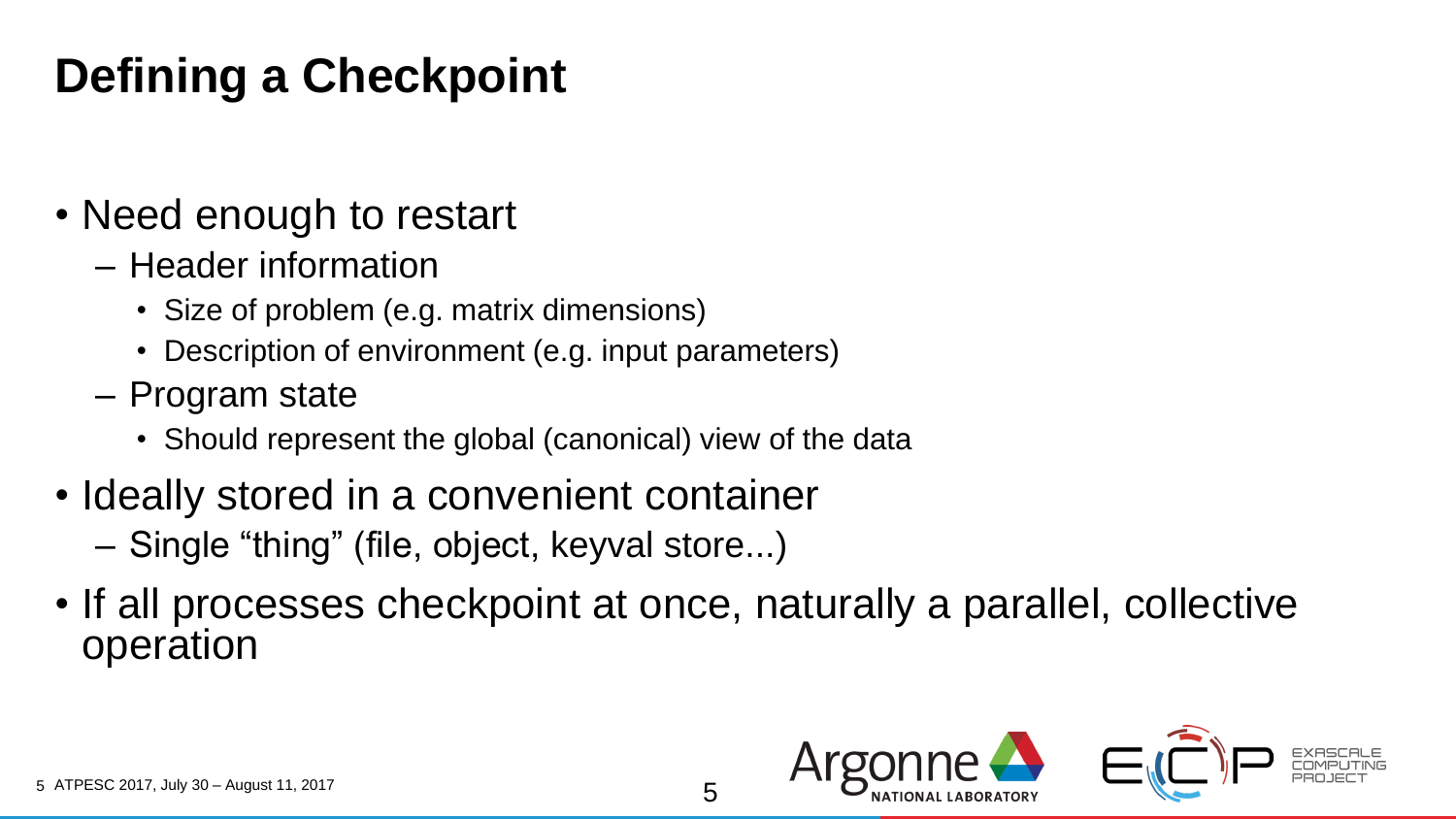## **Defining a Checkpoint**

- Need enough to restart
	- Header information
		- Size of problem (e.g. matrix dimensions)
		- Description of environment (e.g. input parameters)
	- Program state
		- Should represent the global (canonical) view of the data
- Ideally stored in a convenient container

– Single "thing" (file, object, keyval store...)

• If all processes checkpoint at once, naturally a parallel, collective operation

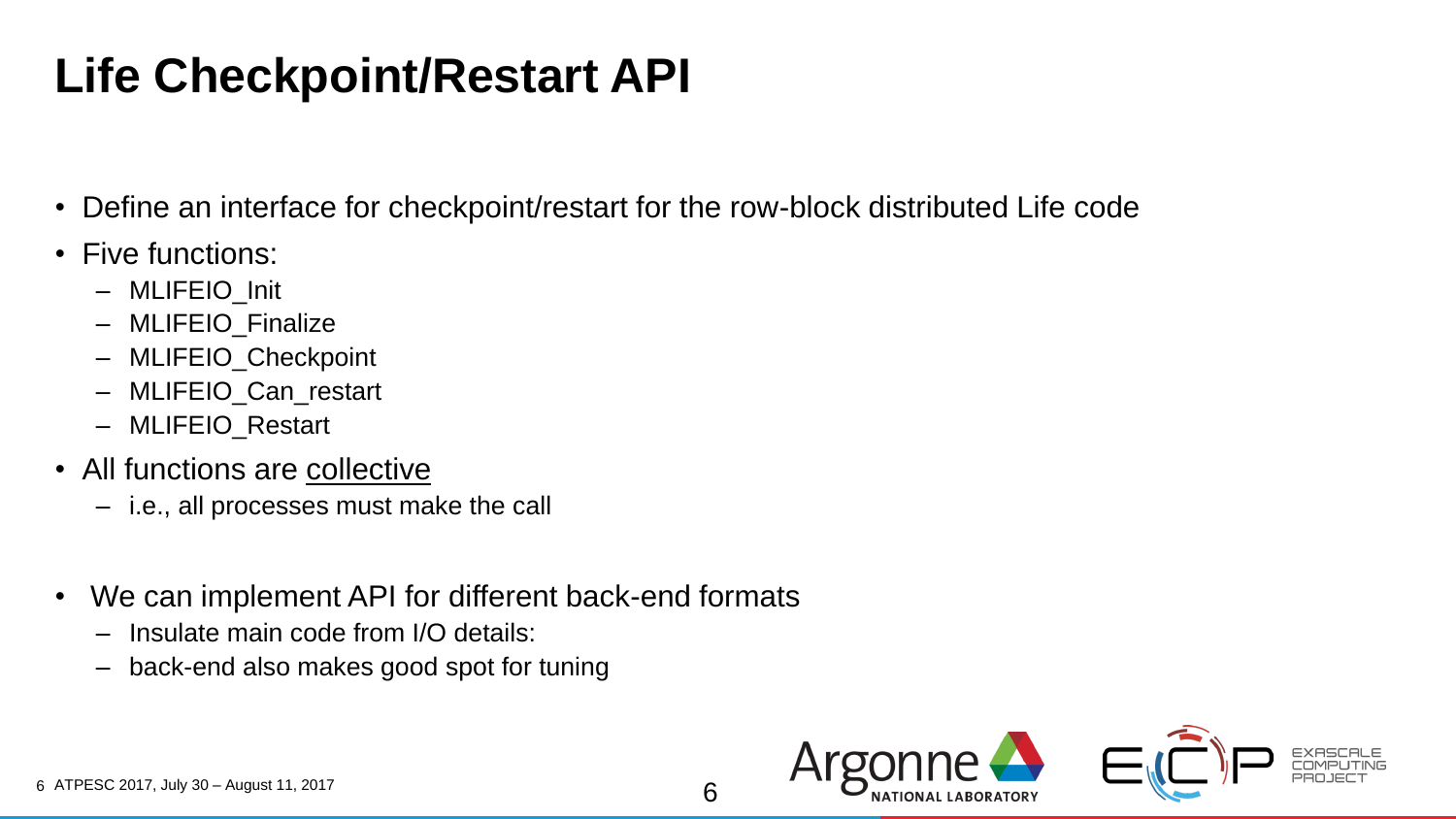## **Life Checkpoint/Restart API**

- Define an interface for checkpoint/restart for the row-block distributed Life code
- Five functions:
	- MLIFEIO\_Init
	- MLIFEIO\_Finalize
	- MLIFEIO\_Checkpoint
	- MLIFEIO\_Can\_restart
	- MLIFEIO\_Restart
- All functions are collective
	- i.e., all processes must make the call
- We can implement API for different back-end formats
	- Insulate main code from I/O details:
	- back-end also makes good spot for tuning

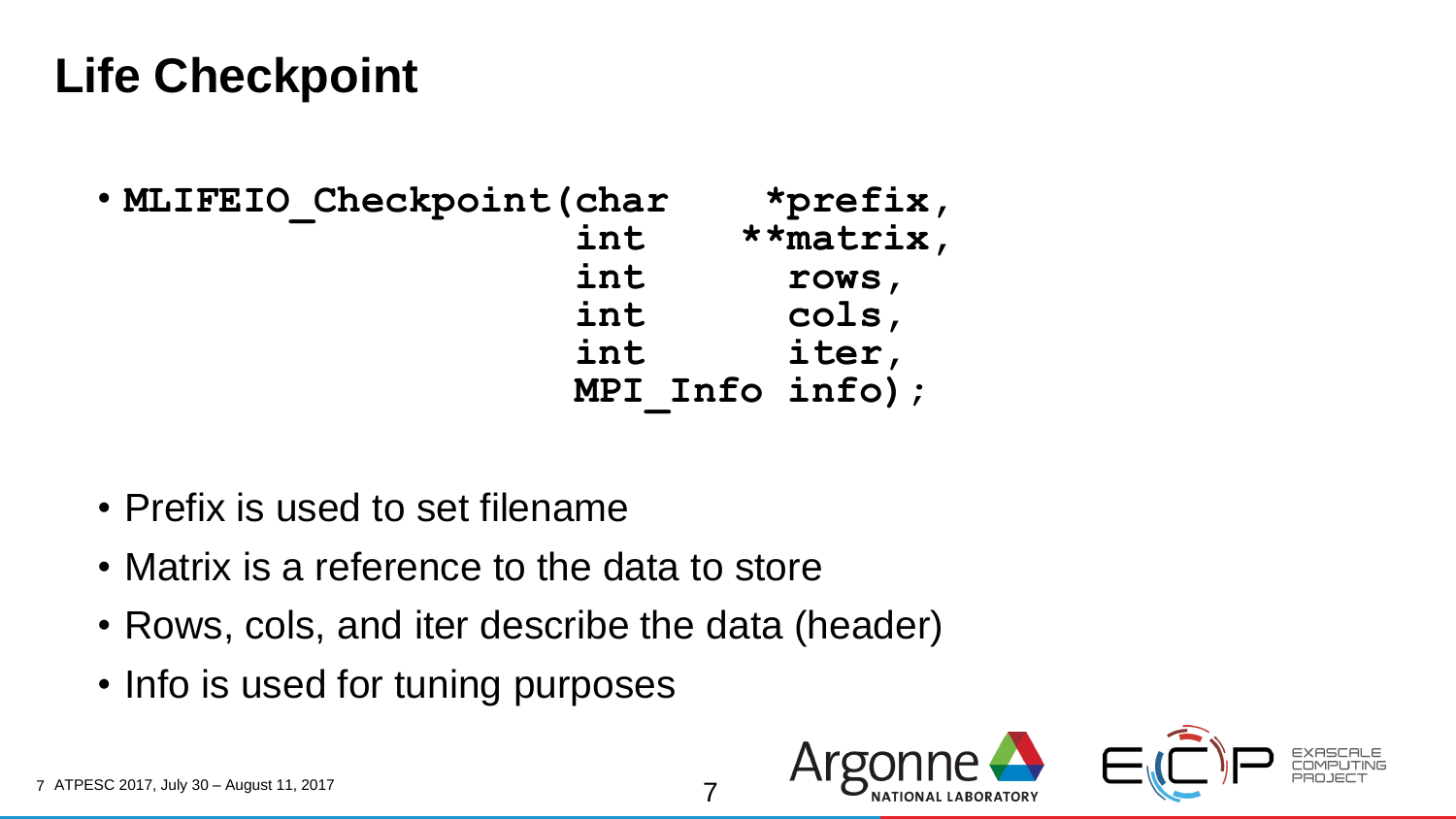#### **Life Checkpoint**

| . MLIFEIO Checkpoint (char | *prefix,             |
|----------------------------|----------------------|
| int                        | $\star\star$ matrix, |
| int                        | rows,                |
| int                        | cols,                |
| int                        | iter,                |
|                            | MPI Info info);      |

- Prefix is used to set filename
- Matrix is a reference to the data to store
- Rows, cols, and iter describe the data (header)

7

• Info is used for tuning purposes

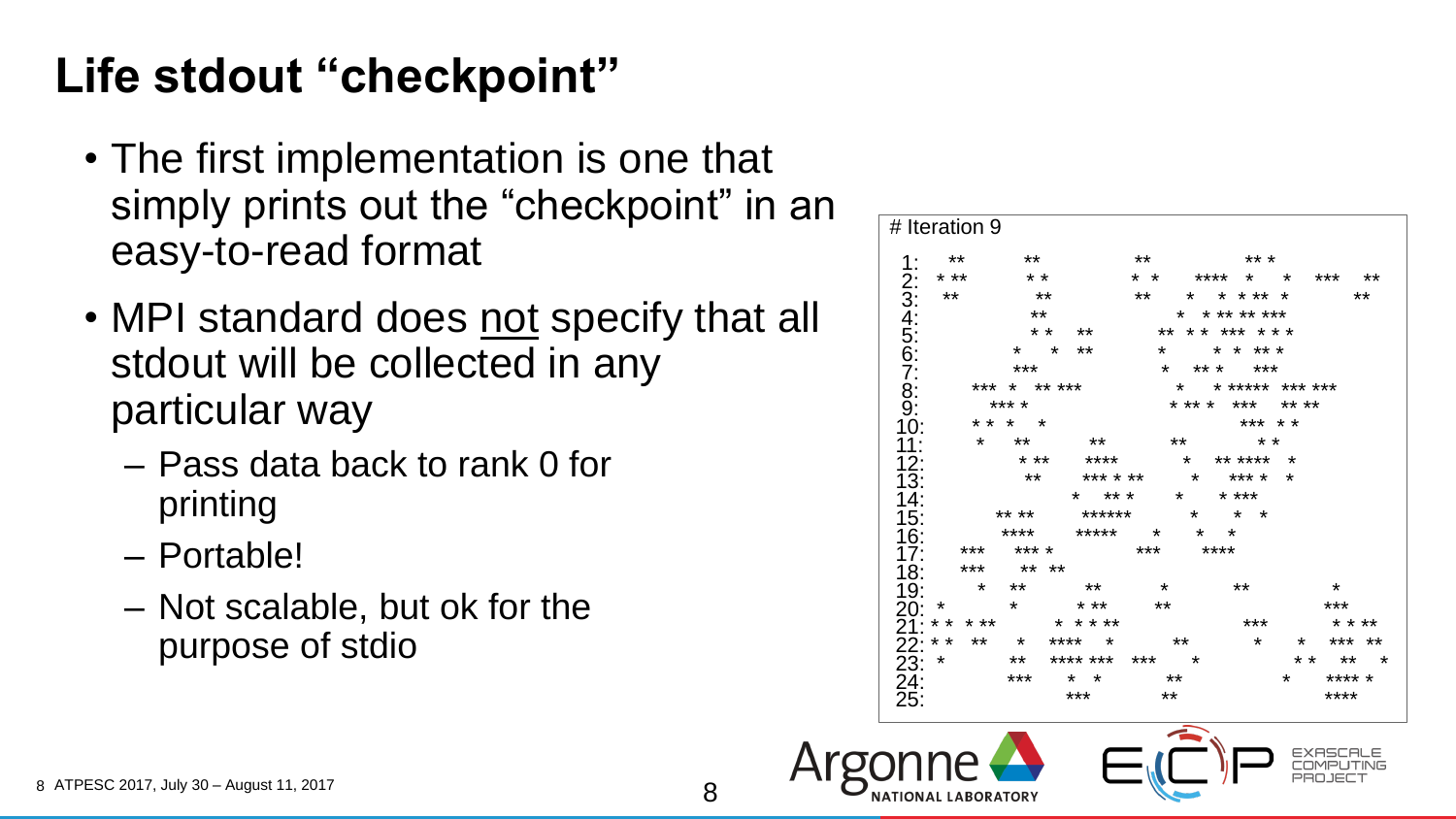### **Life stdout "checkpoint"**

- The first implementation is one that simply prints out the "checkpoint" in an easy-to-read format
- MPI standard does not specify that all stdout will be collected in any particular way
	- Pass data back to rank 0 for printing
	- Portable!
	- Not scalable, but ok for the purpose of stdio

|                 | **                   |                      | **                |         | ** *                    |         |          |  |
|-----------------|----------------------|----------------------|-------------------|---------|-------------------------|---------|----------|--|
| $1:$ **<br>* ** | $\star$ $\star$      |                      |                   |         | * * **** * * *** **     |         |          |  |
| $***$           | $***$                |                      |                   |         | ** * * * ** *           |         | **       |  |
| 2:34<br>56:67:  |                      |                      |                   |         |                         |         |          |  |
|                 | $***$                |                      |                   |         | * * ** ** ***           |         |          |  |
|                 |                      | * * **               |                   |         | ** * * *** * * *        |         |          |  |
|                 |                      | * * **               |                   |         | * * * * * *             |         |          |  |
|                 | ***                  |                      |                   |         | * ** * ***              |         |          |  |
|                 | *** * ** ***         |                      | * * ***** *** *** |         |                         |         |          |  |
| $\frac{8}{9}$   | *** *                |                      |                   |         | * ** * *** ** **        |         |          |  |
| 10:             | * * * *              |                      |                   |         | *** * *                 |         |          |  |
|                 | * **                 | **                   |                   | **      | $\star$ $\star$         |         |          |  |
| 12:             | $\star$ $\star\star$ | **** * ** **** *     |                   |         |                         |         |          |  |
| 13:             | $***$                | *** * **             |                   | $\star$ | *** *                   |         |          |  |
| 14:             |                      | * ** * * * ***       |                   |         |                         |         |          |  |
| 15:             | ** **                | ******               |                   |         | $\star$ $\star$ $\star$ |         |          |  |
| 16:             |                      | **** ***** * * *     |                   |         |                         |         |          |  |
| 17:             | *** *** *            |                      | *** ****          |         |                         |         |          |  |
|                 | $18:*********$       |                      |                   |         |                         |         |          |  |
| 19:             |                      | * ** **              | $\star$           |         | $***$                   |         | $\star$  |  |
| $20:$ $*$       | $\star$              | $\star$ $\star\star$ | **                |         |                         |         | ***      |  |
|                 |                      | $21.*************$   |                   |         | ***                     |         | * * **   |  |
|                 |                      |                      |                   |         |                         |         |          |  |
|                 |                      | ** ******* *** *     |                   |         |                         |         | * * ** * |  |
| 23: *           |                      | *** * * * **         |                   |         |                         | $\star$ | **** *   |  |
| 24:<br>25:      |                      | ***                  | $**$              |         |                         |         | ****     |  |

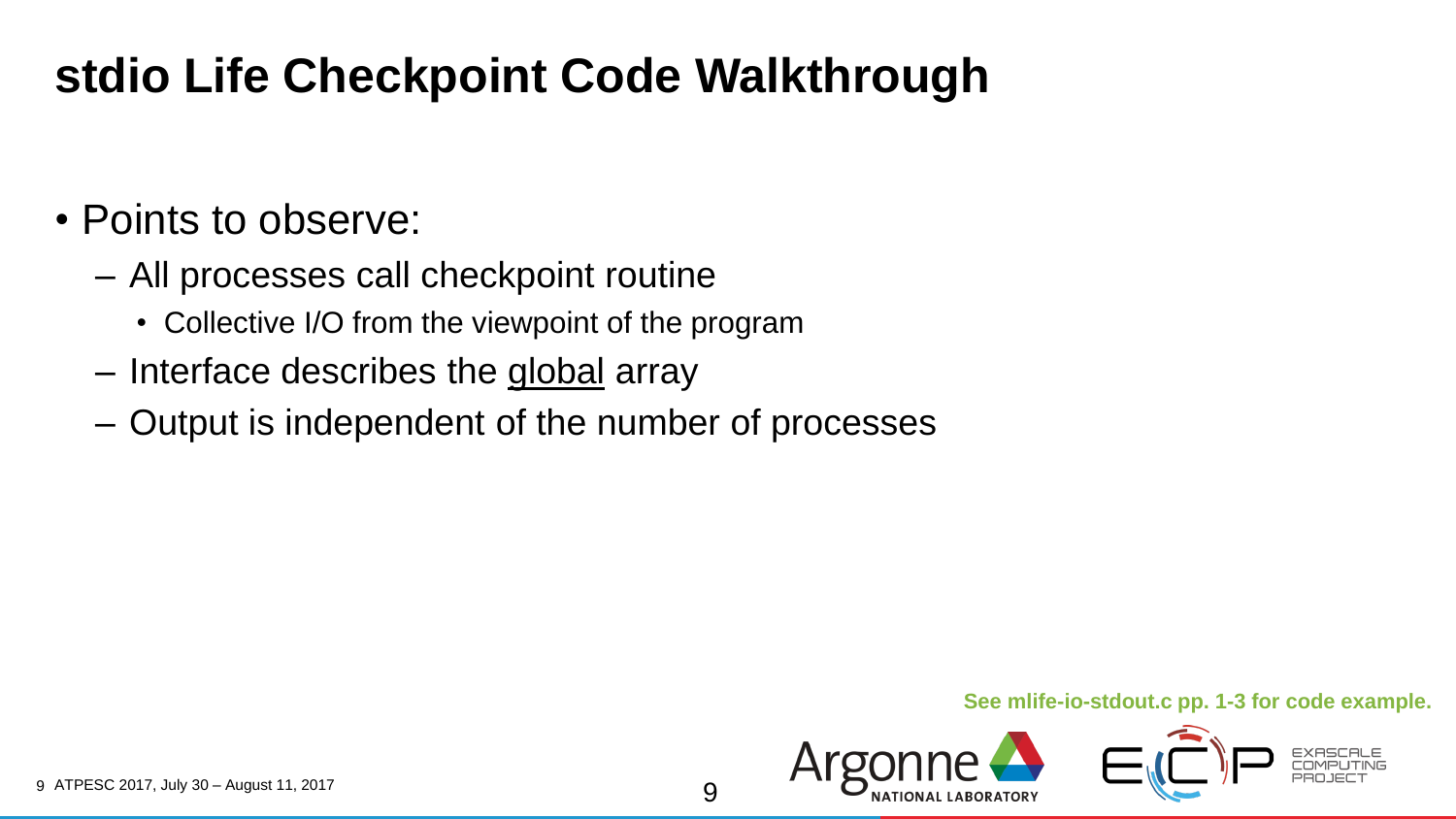### **stdio Life Checkpoint Code Walkthrough**

#### • Points to observe:

- All processes call checkpoint routine
	- Collective I/O from the viewpoint of the program
- Interface describes the global array
- Output is independent of the number of processes

#### **See mlife-io-stdout.c pp. 1-3 for code example.**

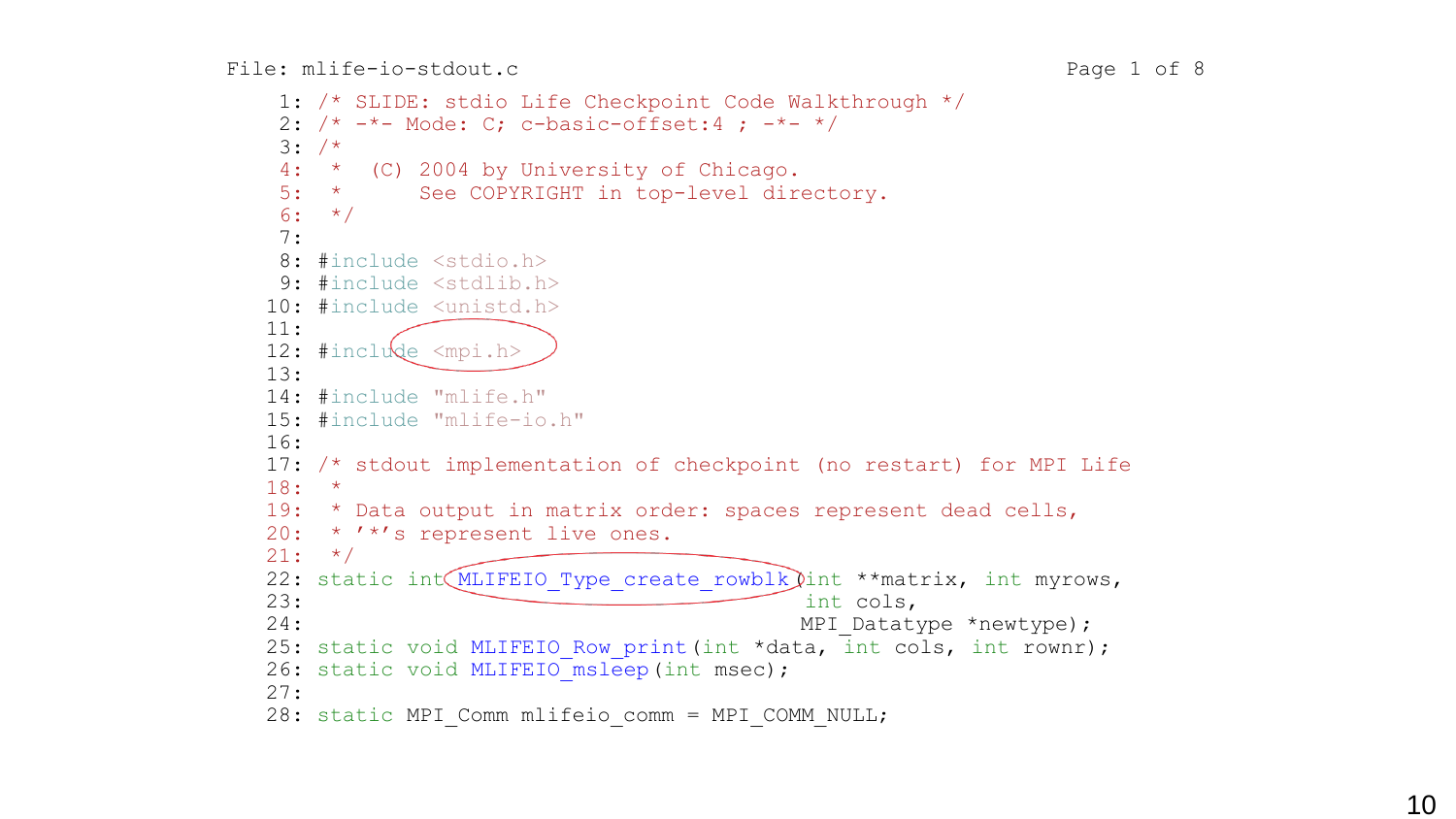```
1: /* SLIDE: stdio Life Checkpoint Code Walkthrough */
 2: /* -*- Mode: C; c-basic-offset:4; -*- */
 3: /*4: * (C) 2004 by University of Chicago.
 5: * See COPYRIGHT in top-level directory.
 6: */-7:
 8: #include <stdio.h>
9: #include <stdlib.h>
10: #include <unistd.h>
11:
12: #include <mpi.h>
13:
14: #include "mlife.h"
15: #include "mlife-io.h"
16:
17: /* stdout implementation of checkpoint (no restart) for MPI Life
18: *
19: * Data output in matrix order: spaces represent dead cells,
20: * '*'s represent live ones.
21: */-22: static int MLIFEIO Type create rowblk (int **matrix, int myrows,
23: int cols,
24: MPI Datatype *newtype);
25: static void MLIFEIO Row print(int *data, int cols, int rownr);
26: static void MLIFEIO_msleep(int msec);
27:
28: static MPI Comm mlifeio comm = MPI COMM_NULL;
```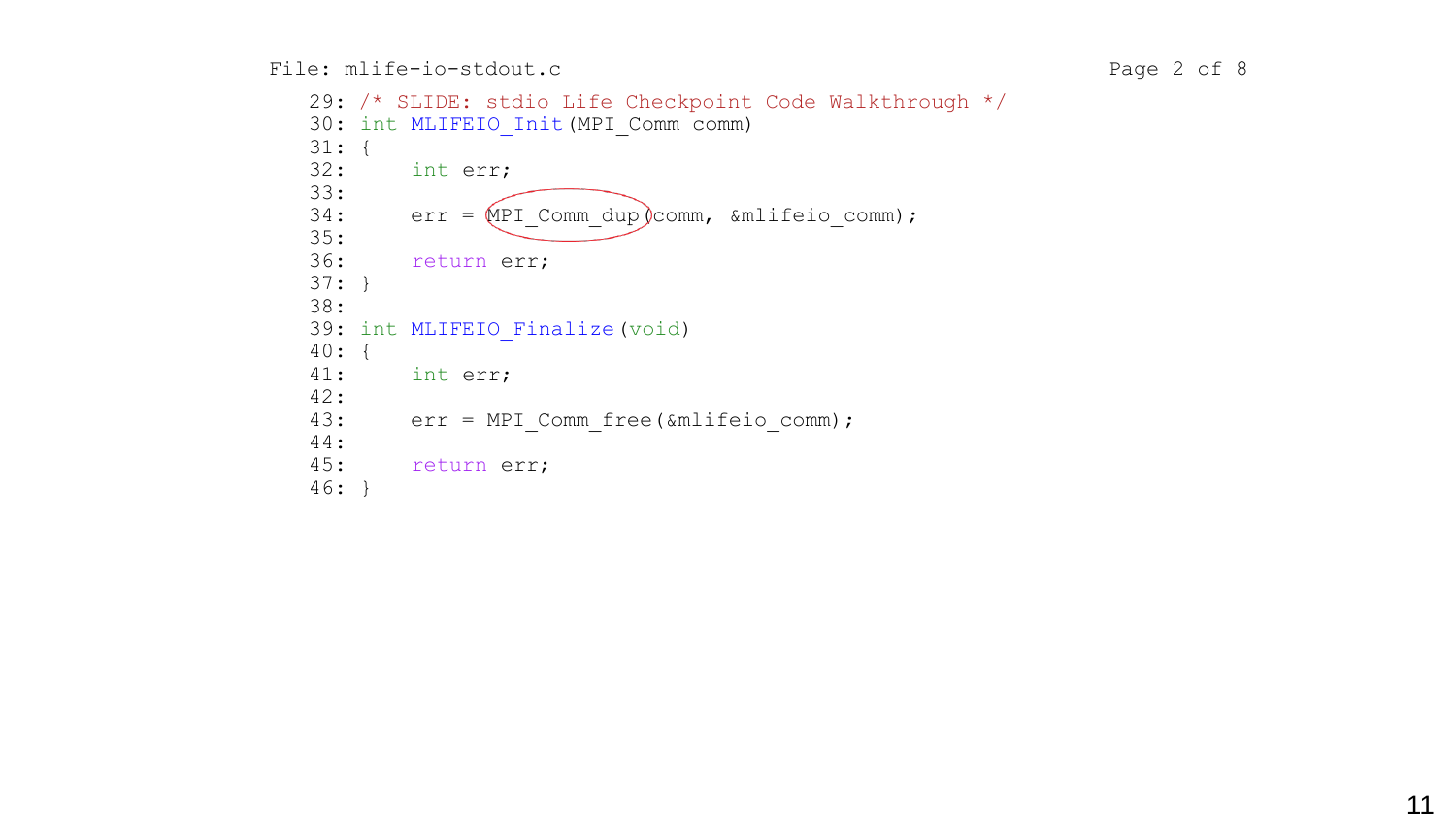File: mlife-io-stdout.c Page 2 of 8

```
 29: /* SLIDE: stdio Life Checkpoint Code Walkthrough */
30: int MLIFEIO Init (MPI Comm comm)
31: {
32: int err;
33:
34: err = MPI Comm dup comm, &mlifeio comm);
35:
36: return err;
37: }
38:
39: int MLIFEIO Finalize (void)
40: {
41: int err;
42:
43: err = MPI_Comm_free(&mlifeio_comm);
44:
45: return err;
46: }
```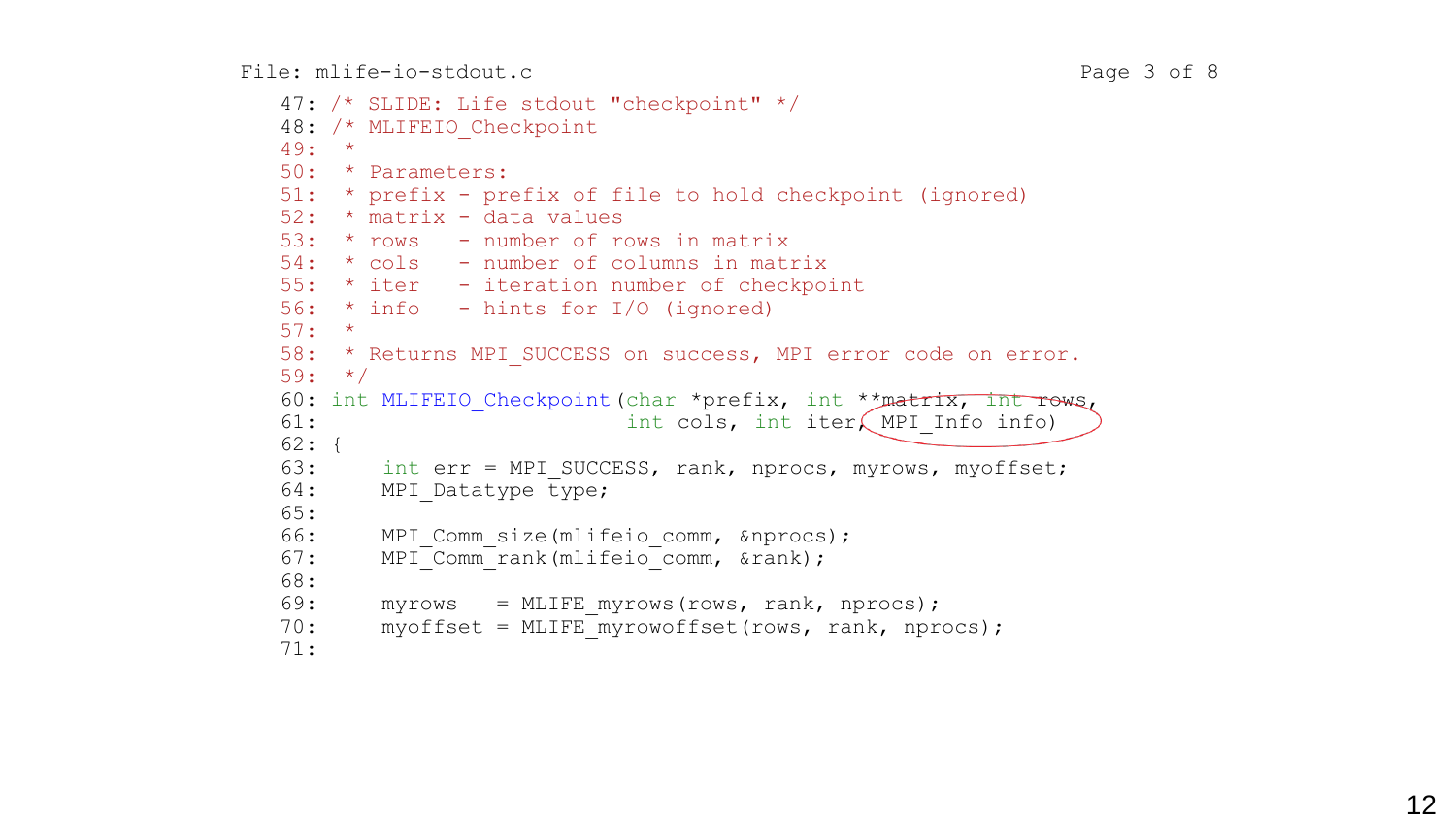```
 47: /* SLIDE: Life stdout "checkpoint" */
48: /* MLIFEIO Checkpoint
49: *
50: * Parameters:
51: * prefix - prefix of file to hold checkpoint (ignored)
52: * matrix - data values
53: * rows - number of rows in matrix
54: * cols - number of columns in matrix
55: * iter - iteration number of checkpoint
56: * info - hints for I/O (ignored)
57: *
58: * Returns MPI SUCCESS on success, MPI error code on error.
59: */
60: int MLIFEIO Checkpoint (char *prefix, int **matrix, int rows,
61: int cols, int iter, MPI Info info)
62: {
63: int err = MPI SUCCESS, rank, nprocs, myrows, myoffset;
64: MPI Datatype type;
65:
66: MPI Comm size(mlifeio comm, &nprocs);
67: MPI<sup>-</sup>Comm<sup>-</sup>rank(mlifeio<sup>-</sup>comm, &rank);
68:
69: myrows = MLIFE myrows(rows, rank, nprocs);
70: myoffset = MLIFE myrowoffset(rows, rank, nprocs);
71:
```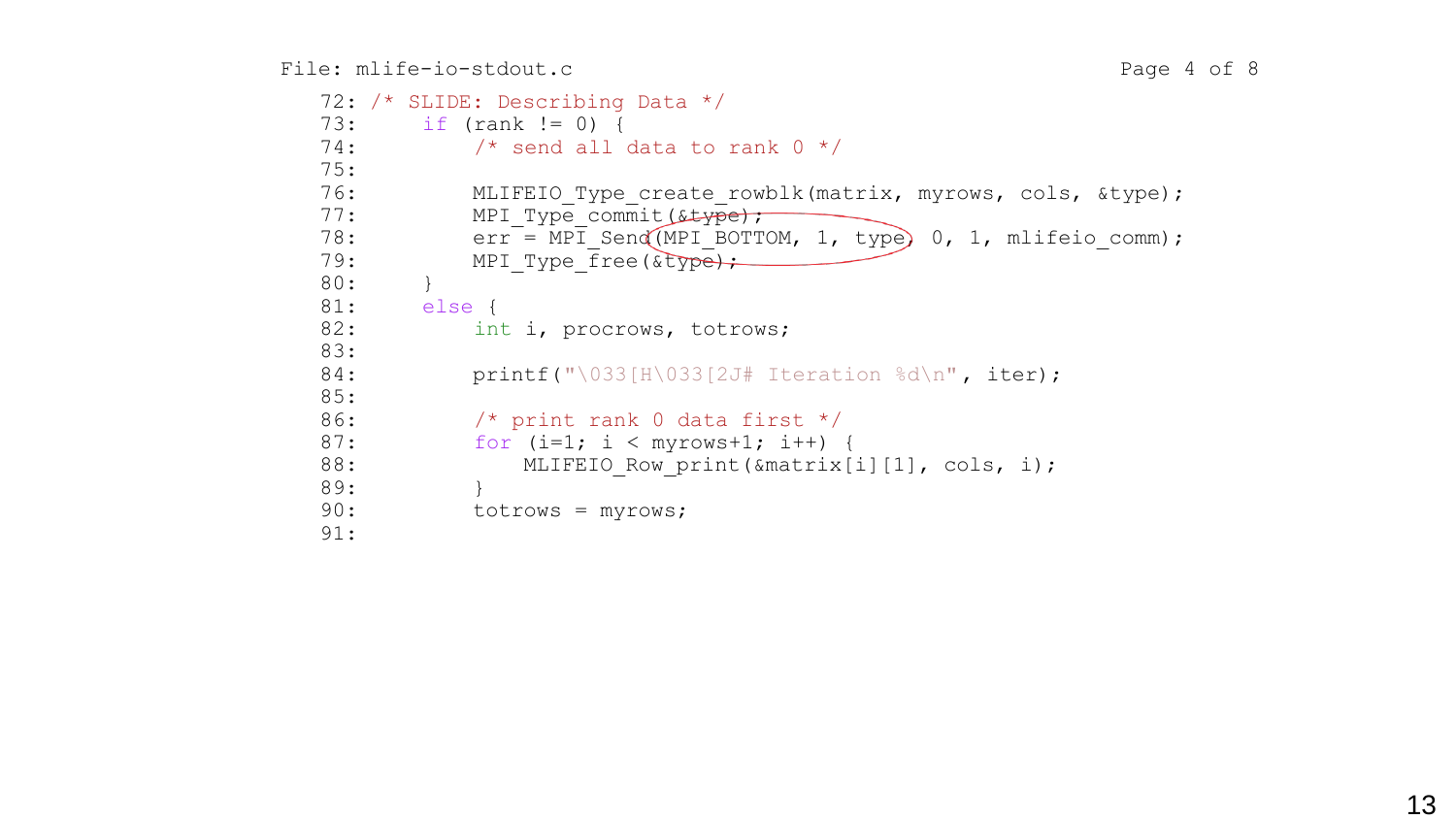```
 72: /* SLIDE: Describing Data */
73: if (rank != 0) {
74: \frac{1}{2} /* send all data to rank 0 */
75:
76: MLIFEIO Type create rowblk(matrix, myrows, cols, &type);
77: MPI Type commit(stype);
78: err^{-} = MPT Send(MPI BOTTOM, 1, type) 0, 1, mlifeio comm);
79: MPI Type free(&type);
80: }
81: else {
82: int i, procrows, totrows;
83:
84: printf("\033[H\033[2J# Iteration %d\n", iter);
85:
86: /* print rank 0 data first */87: for (i=1; i < myrows+1; i++) {
88: MLIFEIO Row print(&matrix[i][1], cols, i);
89: }
90: totrows = myrows;
91:
```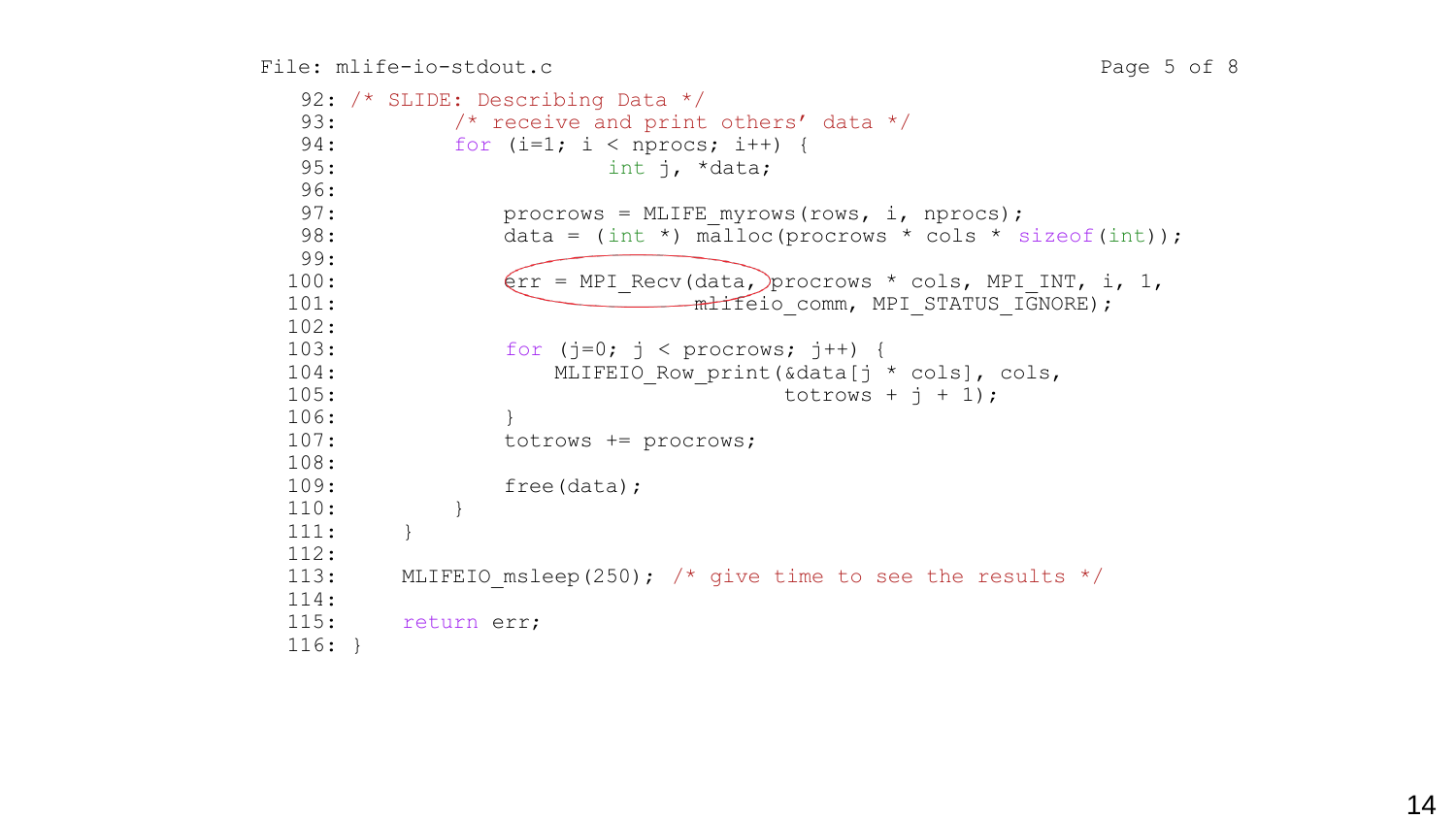```
 92: /* SLIDE: Describing Data */
 93: /* receive and print others' data */94: for (i=1; i < nprocs; i++) {
 95: int j, *data;
 96:
 97: procrows = MLIFE myrows(rows, i, nprocs);
98: data = (int * ) malloc(procrows * cols * sizeof(int));
99:
100: \text{Err} = \text{MPI} \text{ Rev(data, } \text{prox} \star \text{cols, MPI INT, } i, 1,101: The milleio comm, MPI STATUS IGNORE);
102:
103: for (j=0; j < p procrows; j++) {
104: MLIFEIO Row print(&data[j * cols], cols,
105: totrows + j + 1);
106: }
107: totrows += procrows;
108:
109: free(data);
110: }
111: }
112:
113: MLIFEIO msleep(250); /* give time to see the results */114:
115: return err;
116: }
```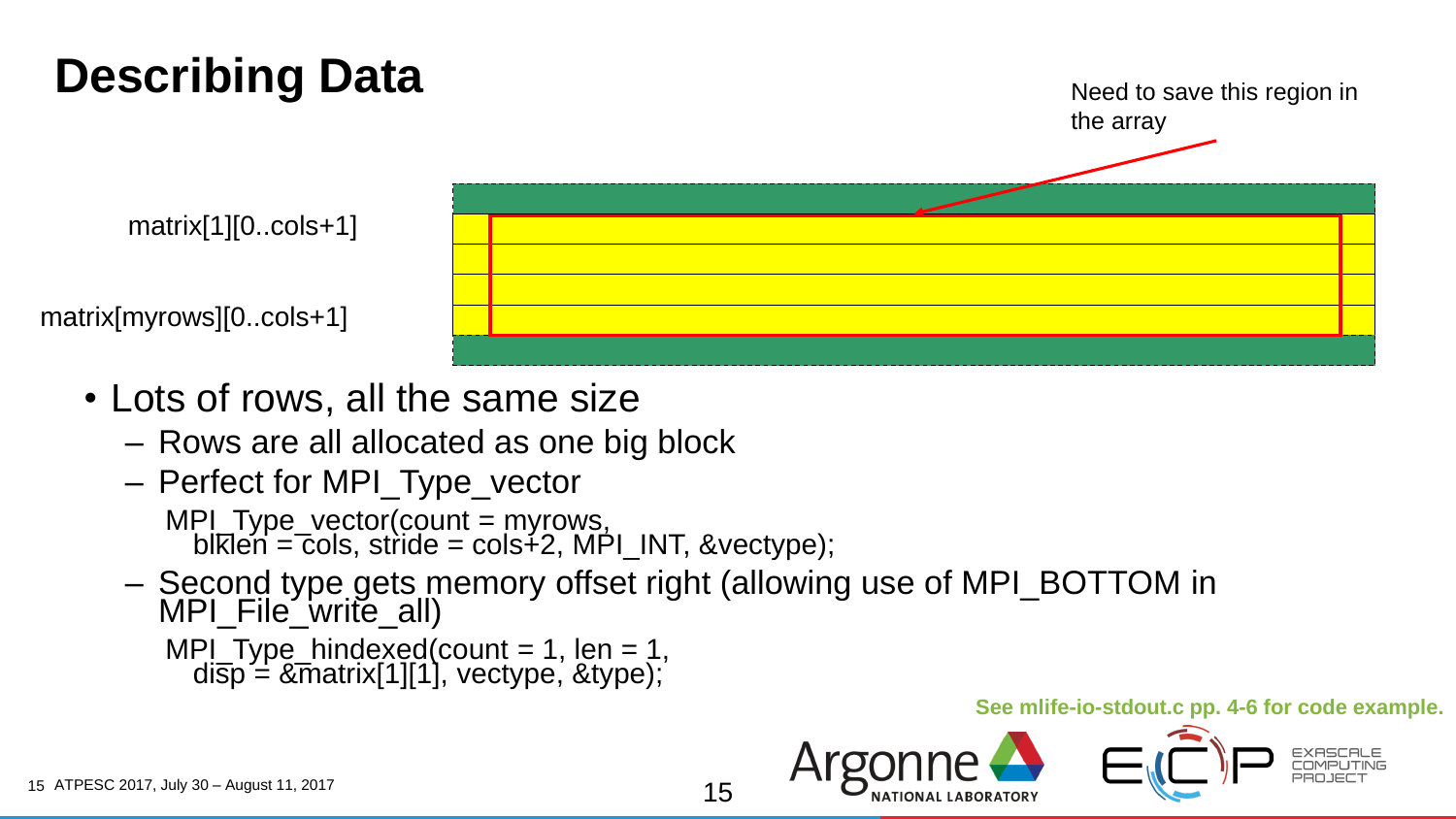# **Describing Data**



- Lots of rows, all the same size
	- Rows are all allocated as one big block
	- Perfect for MPI\_Type\_vector

MPI\_Type\_vector(count = myrows, blklen = cols, stride = cols∔2, MPI\_INT, &vectype);

– Second type gets memory offset right (allowing use of MPI\_BOTTOM in MPI\_File\_write\_all)  $MPl-Type_hinqexed(count = 1, len = 1,$ 

```
disp = &matrix[1][1], vectype, &type);
```
#### **See mlife-io-stdout.c pp. 4-6 for code example.**

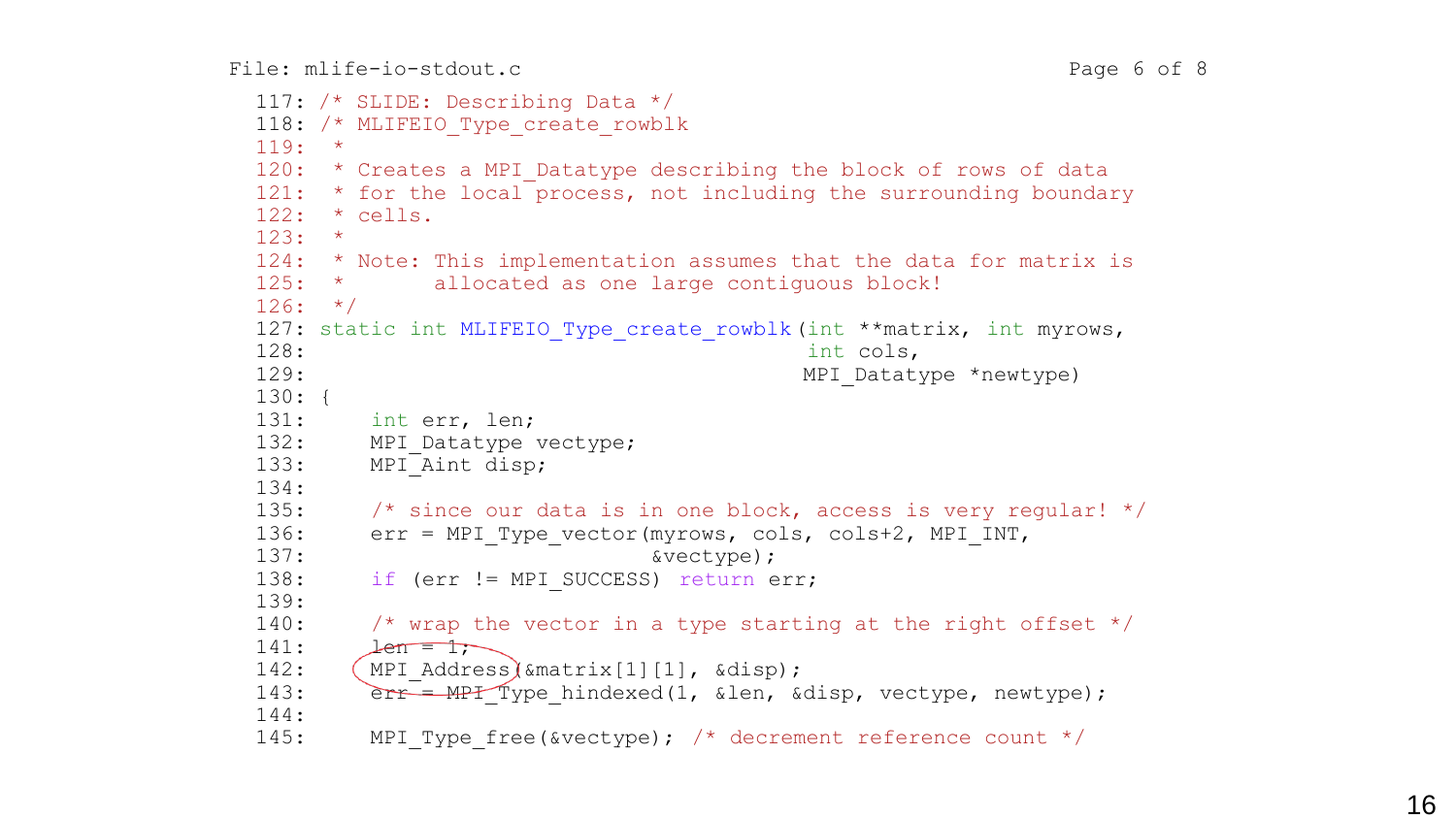```
 117: /* SLIDE: Describing Data */
118: /* MLIFEIO Type create rowblk
119: *
120: * Creates a MPI Datatype describing the block of rows of data
121: * for the local process, not including the surrounding boundary
122: * cells.
123: *
124: * Note: This implementation assumes that the data for matrix is
125: * allocated as one large contiguous block!
126: */-127: static int MLIFEIO Type create rowblk(int **matrix, int myrows,
128: int cols,
129: MPI Datatype *newtype)
130: {
131: int err, len;
132: MPI Datatype vectype;
133: MPI Aint disp;
134:
135: \frac{135}{135} /* since our data is in one block, access is very regular! */
136: err = MPI Type vector(myrows, cols, cols+2, MPI INT,
137: \&vector138: if (err != MPI SUCCESS) return err;
139:
140: \frac{1}{1000} /* wrap the vector in a type starting at the right offset */
141: \qquad \qquad \qquad \qquad \qquad \qquad \qquad \qquad \qquad \qquad \qquad \qquad \qquad \qquad \qquad \qquad \qquad \qquad \qquad \qquad \qquad \qquad \qquad \qquad \qquad \qquad \qquad \qquad \qquad \qquad \qquad \qquad \qquad \qquad \qquad \qquad \qquad \qquad \qquad \qquad \qquad \qquad \qquad \qquad \qquad \qquad \qquad 142: (MPI Address) &matrix[1][1], &disp);
143: err = MPI Type hindexed(1, &len, &disp, vectype, newtype);
144:
145: MPI Type free(&vectype); /* decrement reference count */
```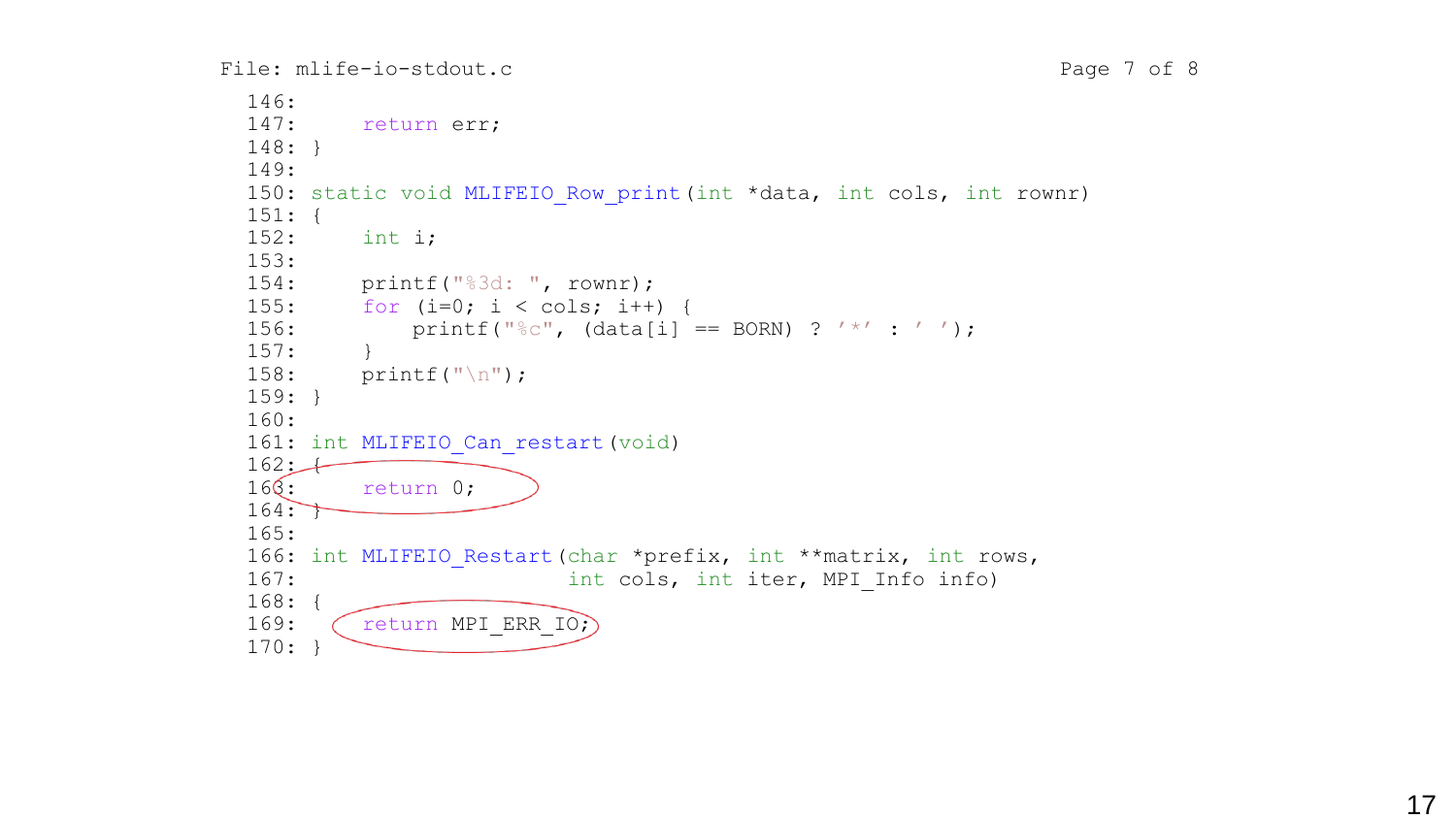```
File: mlife-io-stdout.c Page 7 of 8
```

```
146:
147: return err;
148: }
149:
150: static void MLIFEIO Row print(int *data, int cols, int rownr)
151: {
152: int i;
153:
154: printf("%3d: ", rownr);
155: for (i=0; i < cols; i++) {
156: printf("%c", (data[i] == BORN) ? '*' : '');
157: }
158: printf("\n");
159: }
160:
161: int MLIFEIO Can restart (void)
162:16<sup>Q</sup>: return 0;
164:165:
166: int MLIFEIO Restart (char *prefix, int **matrix, int rows,
167: The settlement of the cols, int iter, MPI Info info)
168: {
169: \left(\right. return MPI ERR IO;
170: }
```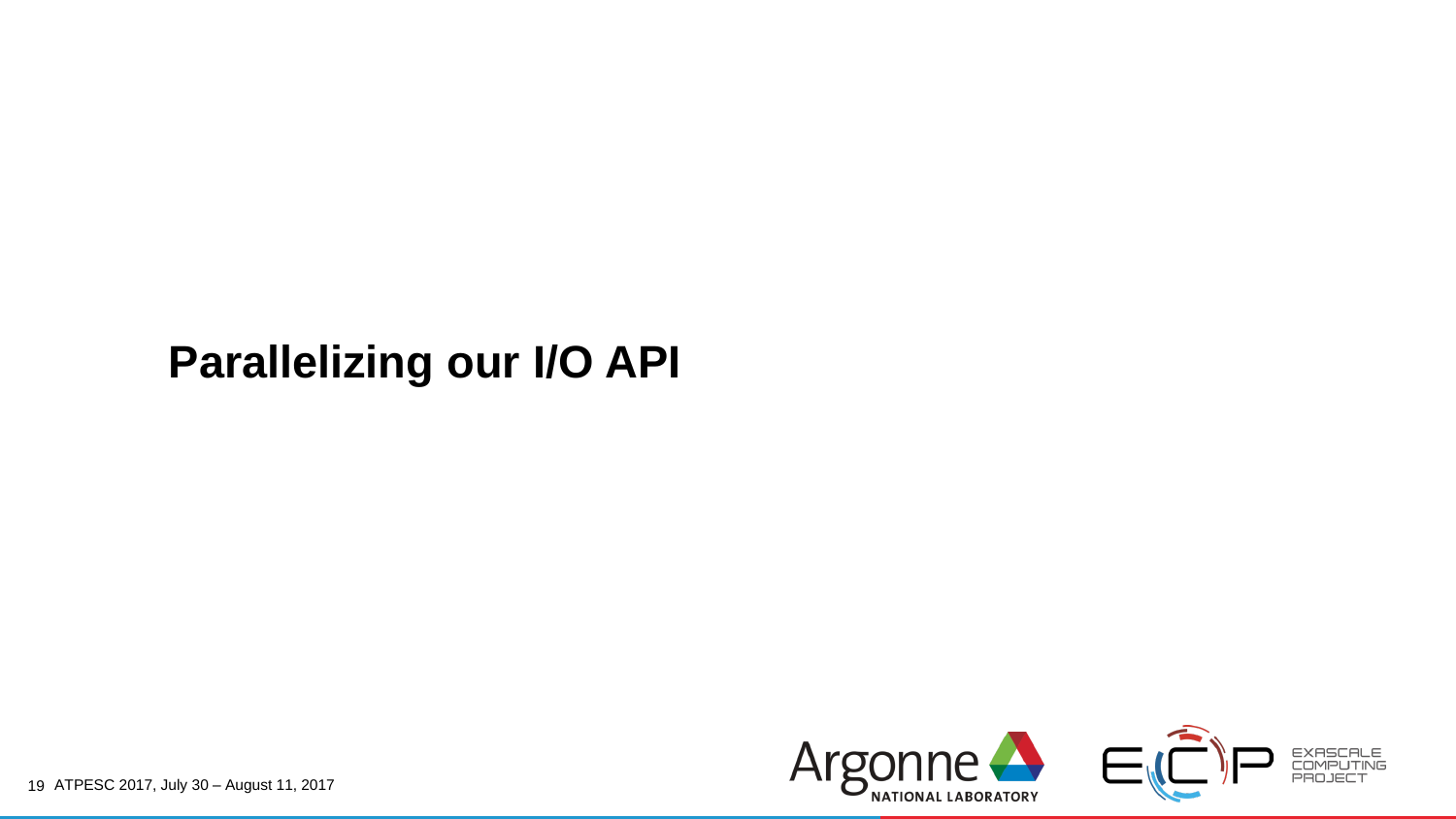#### **Parallelizing our I/O API**

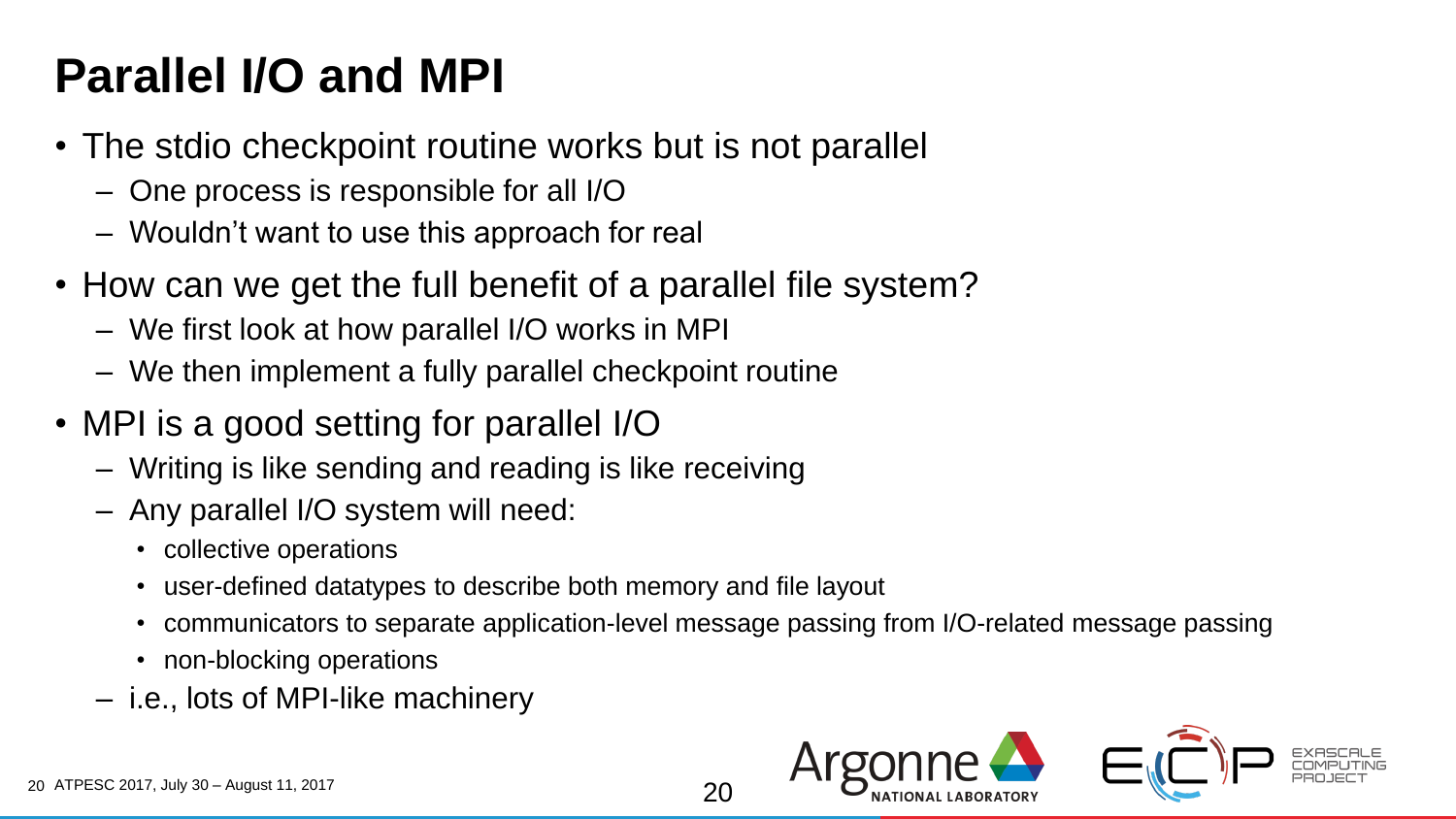# **Parallel I/O and MPI**

- The stdio checkpoint routine works but is not parallel
	- One process is responsible for all I/O
	- Wouldn't want to use this approach for real
- How can we get the full benefit of a parallel file system?
	- We first look at how parallel I/O works in MPI
	- We then implement a fully parallel checkpoint routine
- MPI is a good setting for parallel I/O
	- Writing is like sending and reading is like receiving
	- Any parallel I/O system will need:
		- collective operations
		- user-defined datatypes to describe both memory and file layout
		- communicators to separate application-level message passing from I/O-related message passing

 $2<sub>0</sub>$ 

- non-blocking operations
- i.e., lots of MPI-like machinery

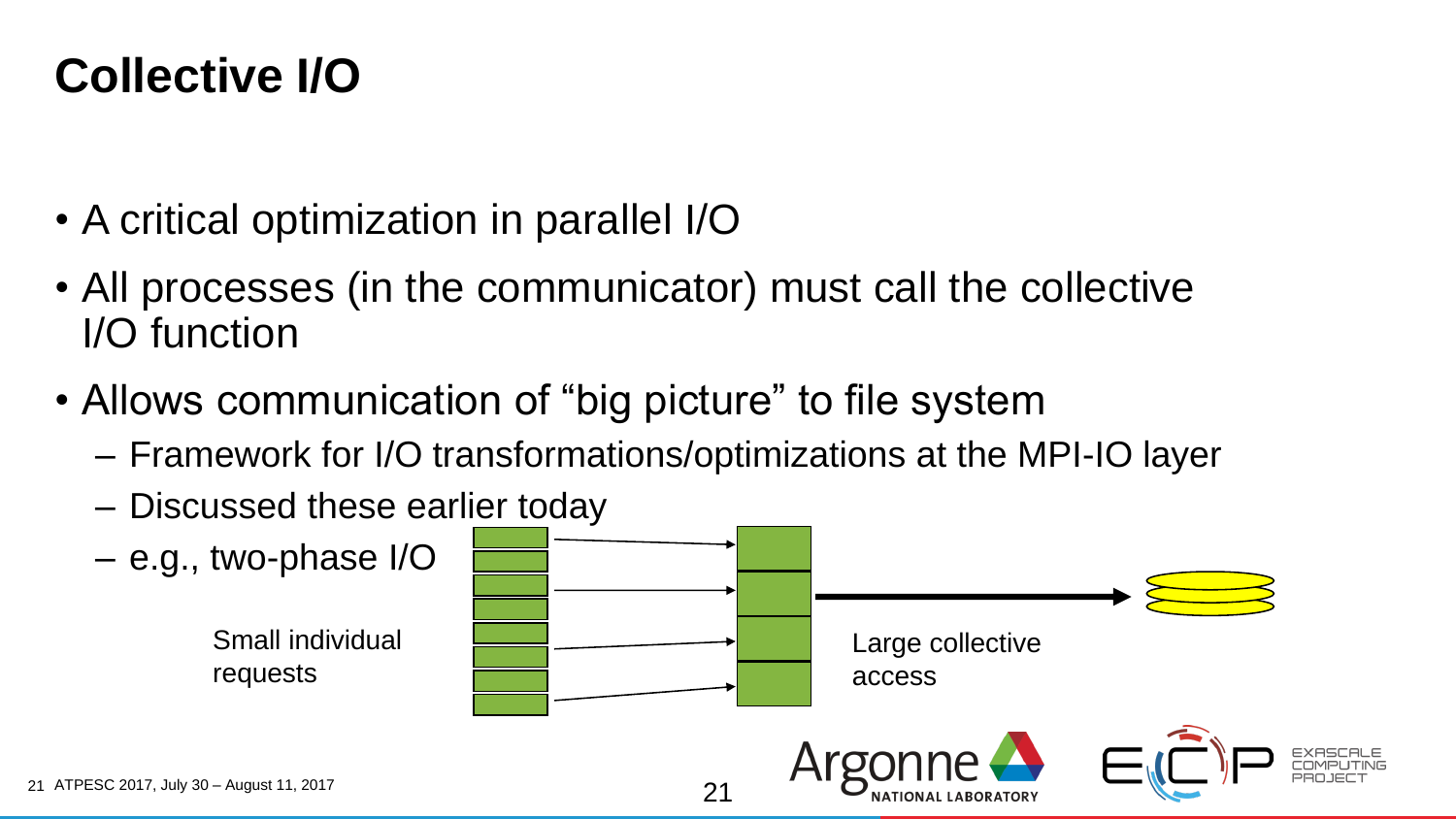#### **Collective I/O**

- A critical optimization in parallel I/O
- All processes (in the communicator) must call the collective I/O function
- Allows communication of "big picture" to file system
	- Framework for I/O transformations/optimizations at the MPI-IO layer
	- Discussed these earlier today

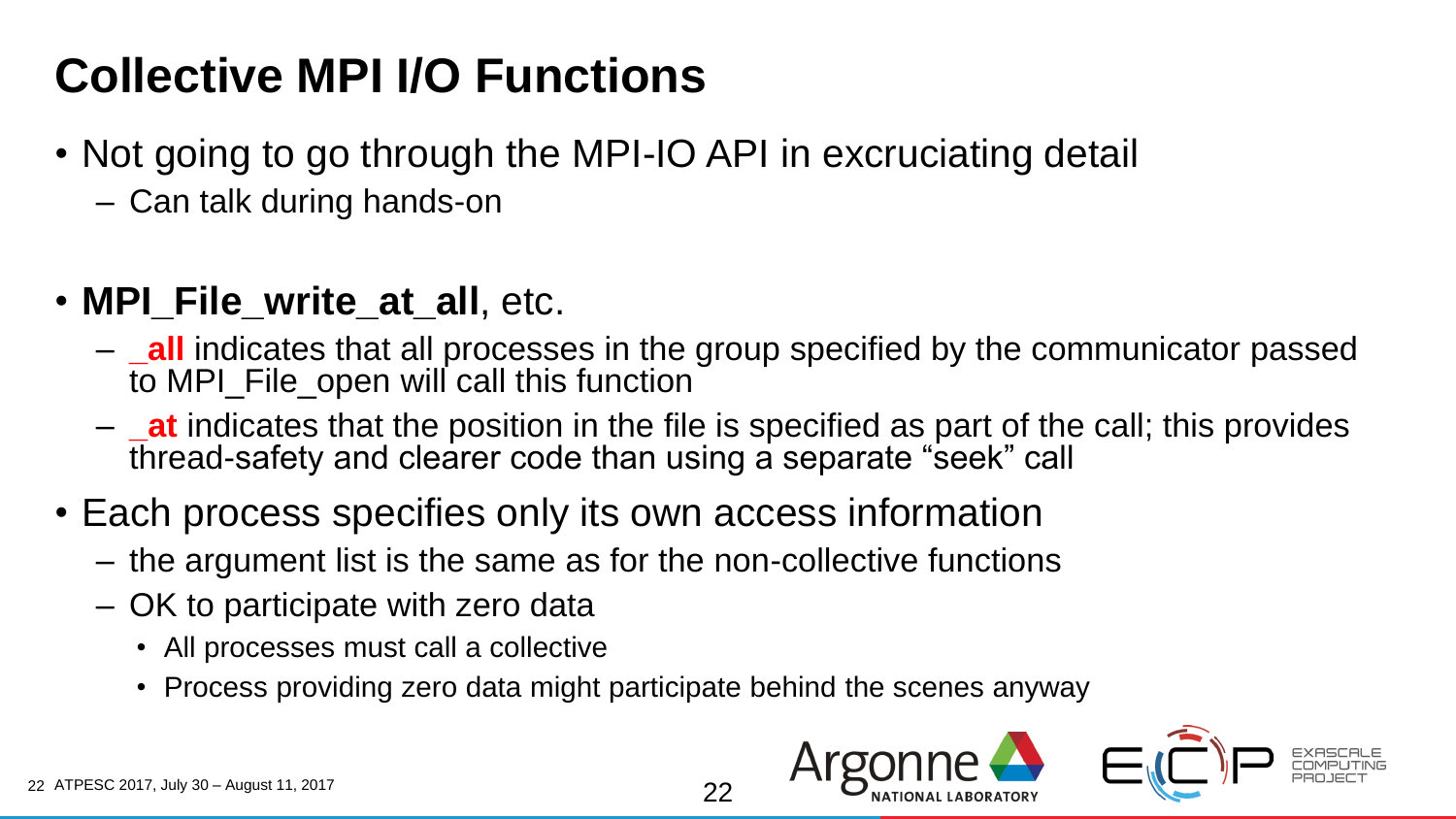# **Collective MPI I/O Functions**

- Not going to go through the MPI-IO API in excruciating detail
	- Can talk during hands-on
- **MPI\_File\_write\_at\_all**, etc.
	- **\_all** indicates that all processes in the group specified by the communicator passed to MPI\_File\_open will call this function
	- **\_at** indicates that the position in the file is specified as part of the call; this provides thread-safety and clearer code than using a separate "seek" call

22

- Each process specifies only its own access information
	- the argument list is the same as for the non-collective functions
	- OK to participate with zero data
		- All processes must call a collective
		- Process providing zero data might participate behind the scenes anyway

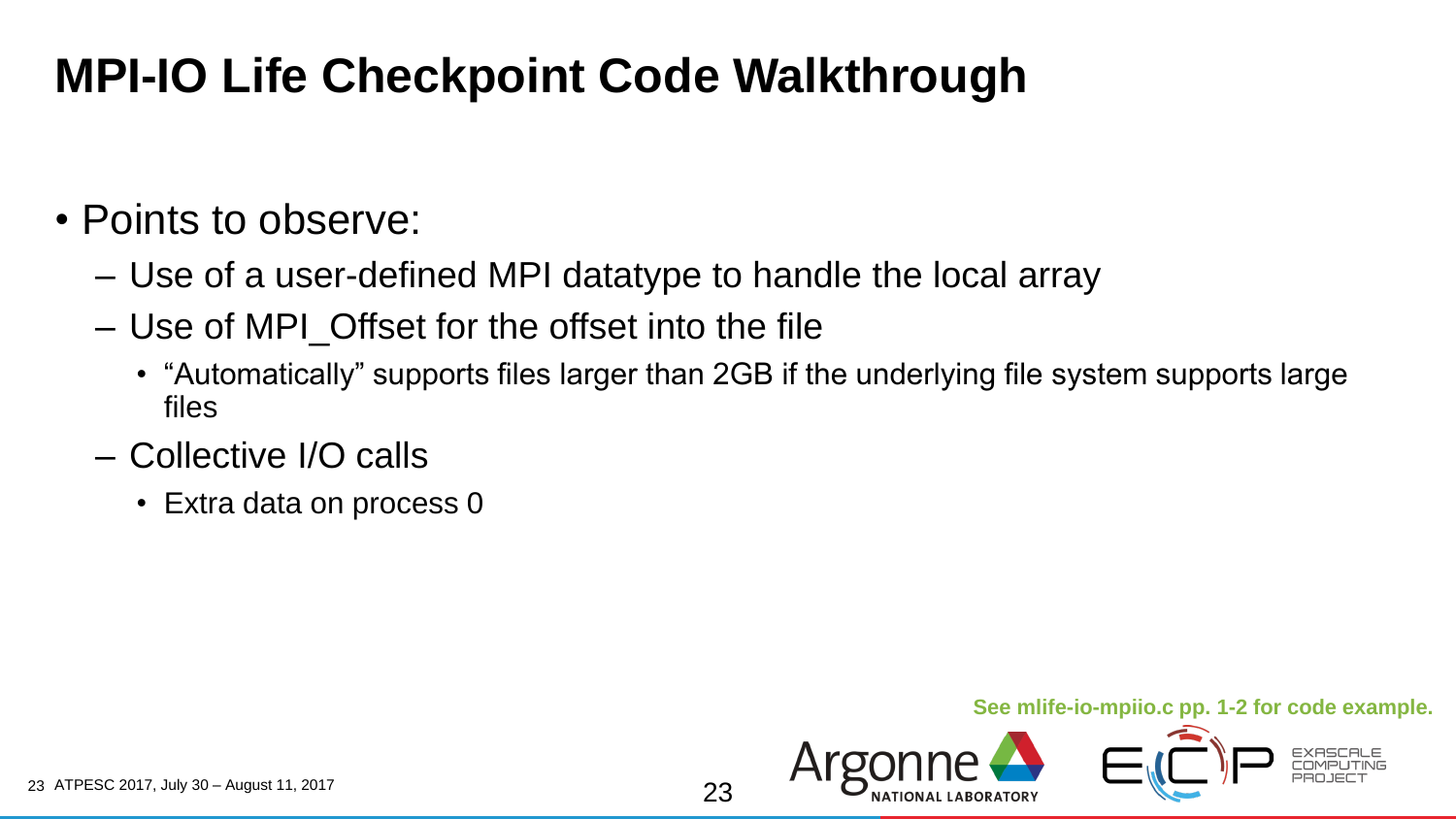### **MPI-IO Life Checkpoint Code Walkthrough**

#### • Points to observe:

- Use of a user-defined MPI datatype to handle the local array
- Use of MPI\_Offset for the offset into the file
	- "Automatically" supports files larger than 2GB if the underlying file system supports large files
- Collective I/O calls
	- Extra data on process 0

#### **See mlife-io-mpiio.c pp. 1-2 for code example.**

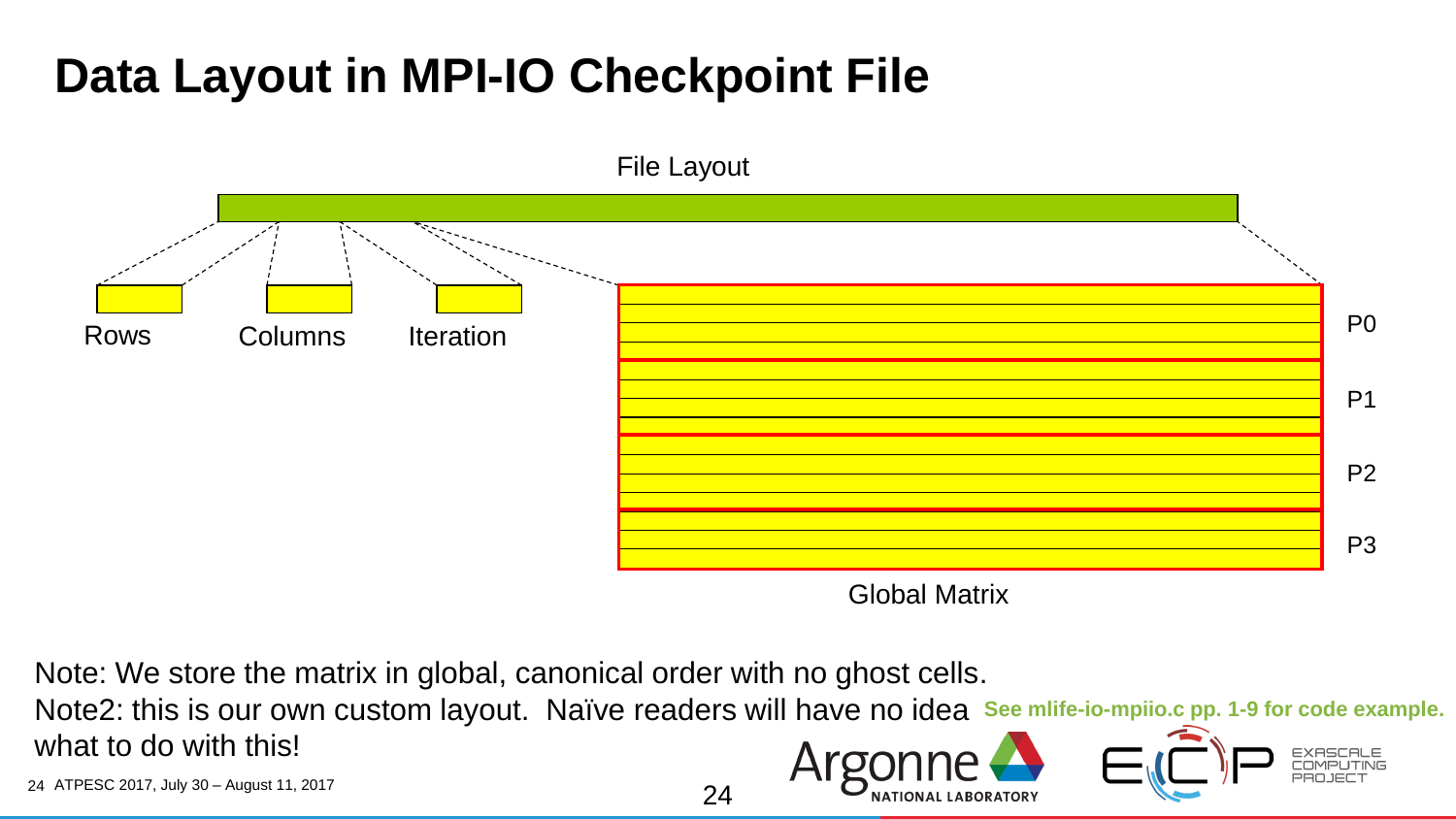### **Data Layout in MPI-IO Checkpoint File**



Global Matrix

Note: We store the matrix in global, canonical order with no ghost cells.

Note2: this is our own custom layout. Naïve readers will have no idea **See mlife-io-mpiio.c pp. 1-9 for code example.** what to do with this!

24

24 ATPESC 2017, July 30 – August 11, 2017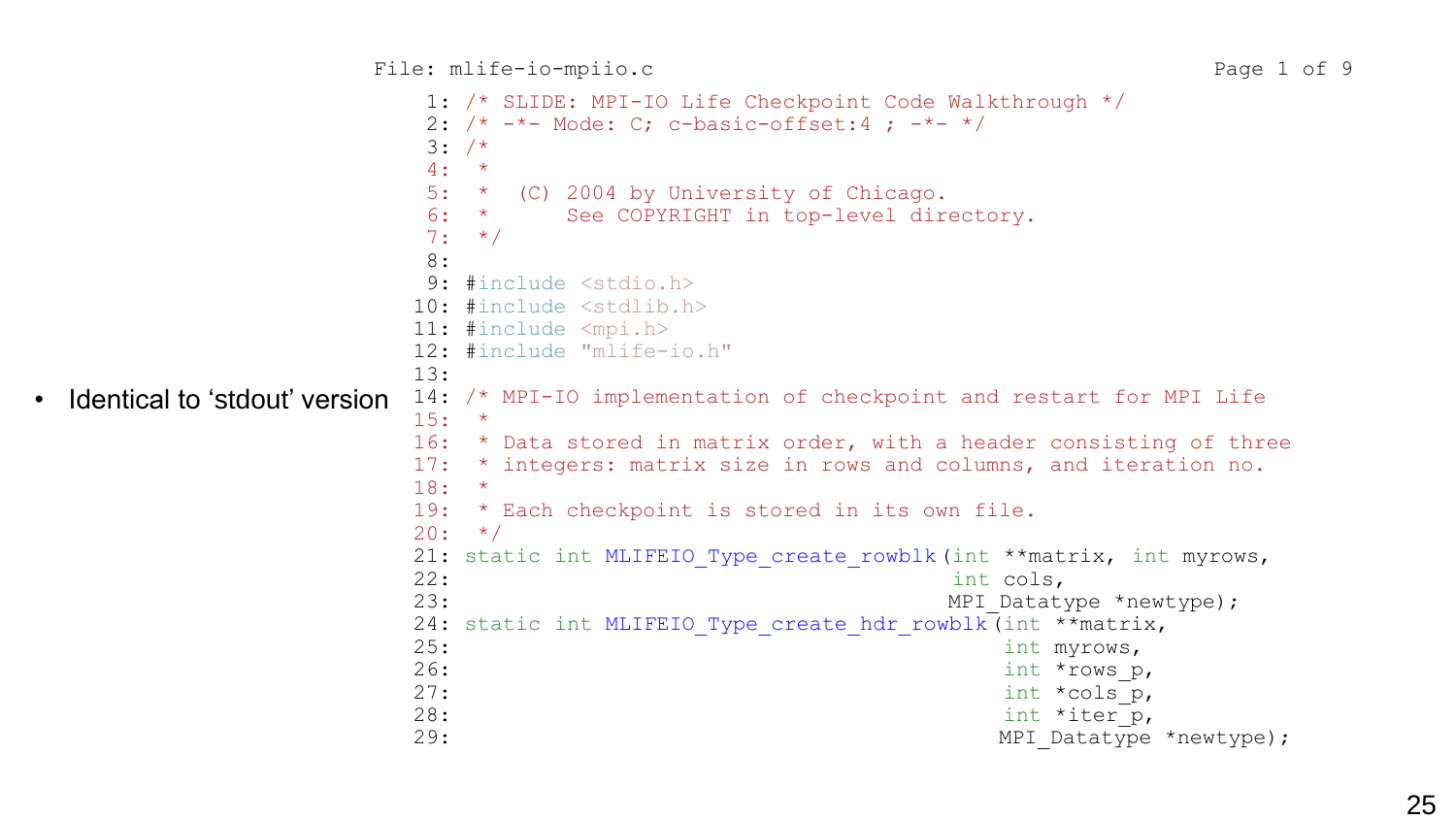```
1: /* SLIDE: MPI-IO Life Checkpoint Code Walkthrough */
                     2: /* -*- Mode: C; c-basic-offset:4; -*- */
                     3: /*4: *5: * (C) 2004 by University of Chicago.
                     6: * See COPYRIGHT in top-level directory.
                     7: */
                     8:
                     9: #include <stdio.h>
                    10: #include <stdlib.h>
                    11: #include <mpi.h>
                    12: #include "mlife-io.h"
                    13:
                    14: /* MPI-IO implementation of checkpoint and restart for MPI Life
                    15: *
                    16: * Data stored in matrix order, with a header consisting of three
                    17: * integers: matrix size in rows and columns, and iteration no.
                    18: *
                    19: * Each checkpoint is stored in its own file.
                    20: */-21: static int MLIFEIO Type create rowblk(int **matrix, int myrows,
                    22: int cols,
                    23: MPI Datatype *newtype);
                    24: static int MLIFEIO Type create hdr rowblk(int **matrix,
                    25: int myrows,
                    26: \frac{1}{26}27: int \star \text{cols}^{\top} p,
                    28: \frac{1}{28}29: MPI Datatype *newtype);
Identical to 'stdout' version
```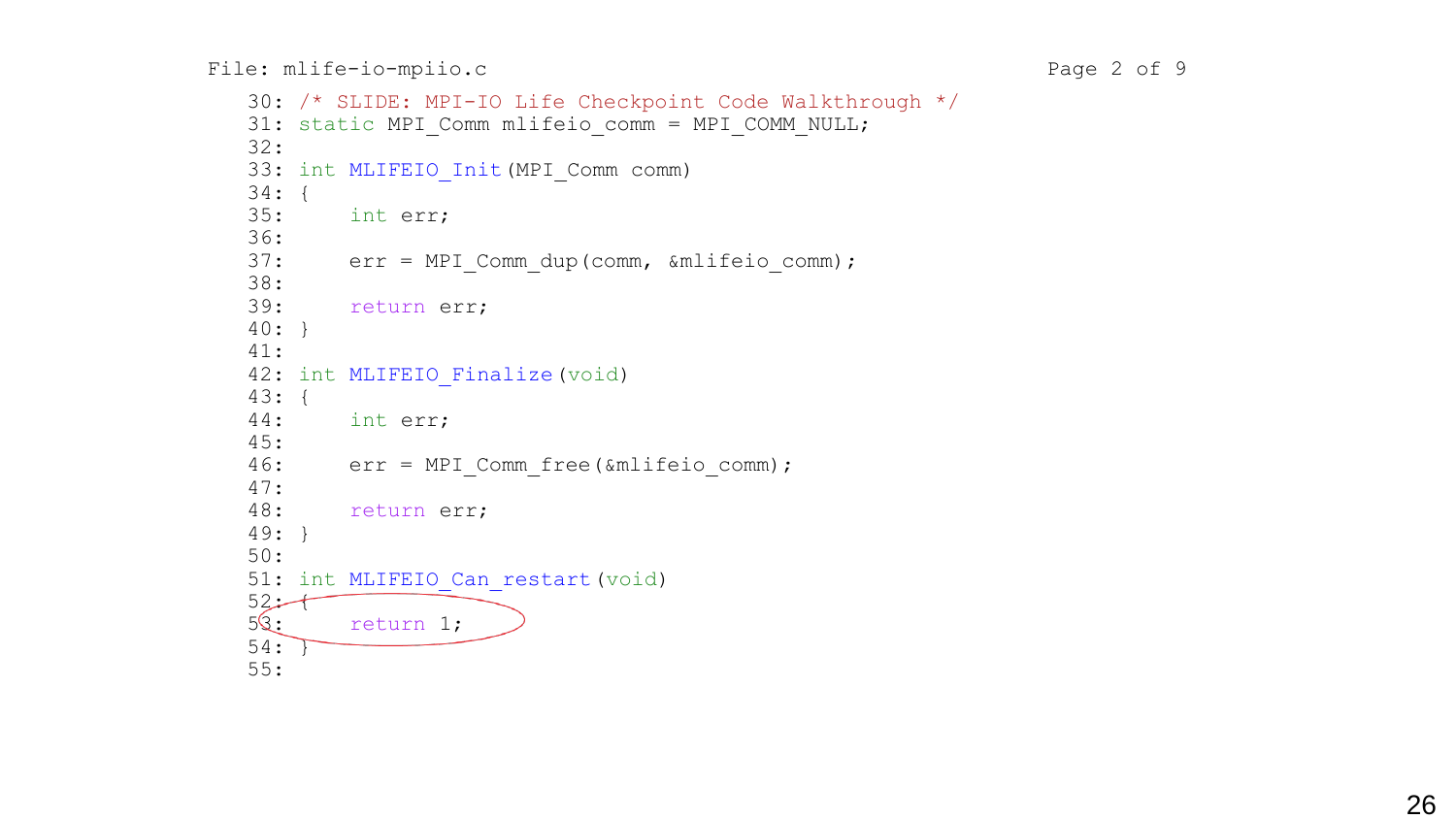```
30: /* SLIDE: MPI-IO Life Checkpoint Code Walkthrough */
31: static MPI Comm mlifeio comm = MPI COMM_NULL;
32:
33: int MLIFEIO Init (MPI Comm comm)
34: {
35: int err;
36:
37: err = MPI Comm dup(comm, &mlifeio comm);
38:
39: return err;
40: }
41:
42: int MLIFEIO Finalize (void)
43: {
44: int err;
45:
46: err = MPI_Comm_free(&mlifeio_comm);
47:
48: return err;
49: }
50:
51: int MLIFEIO Can restart (void)
52 - 753: return 1;
54: }
55:
```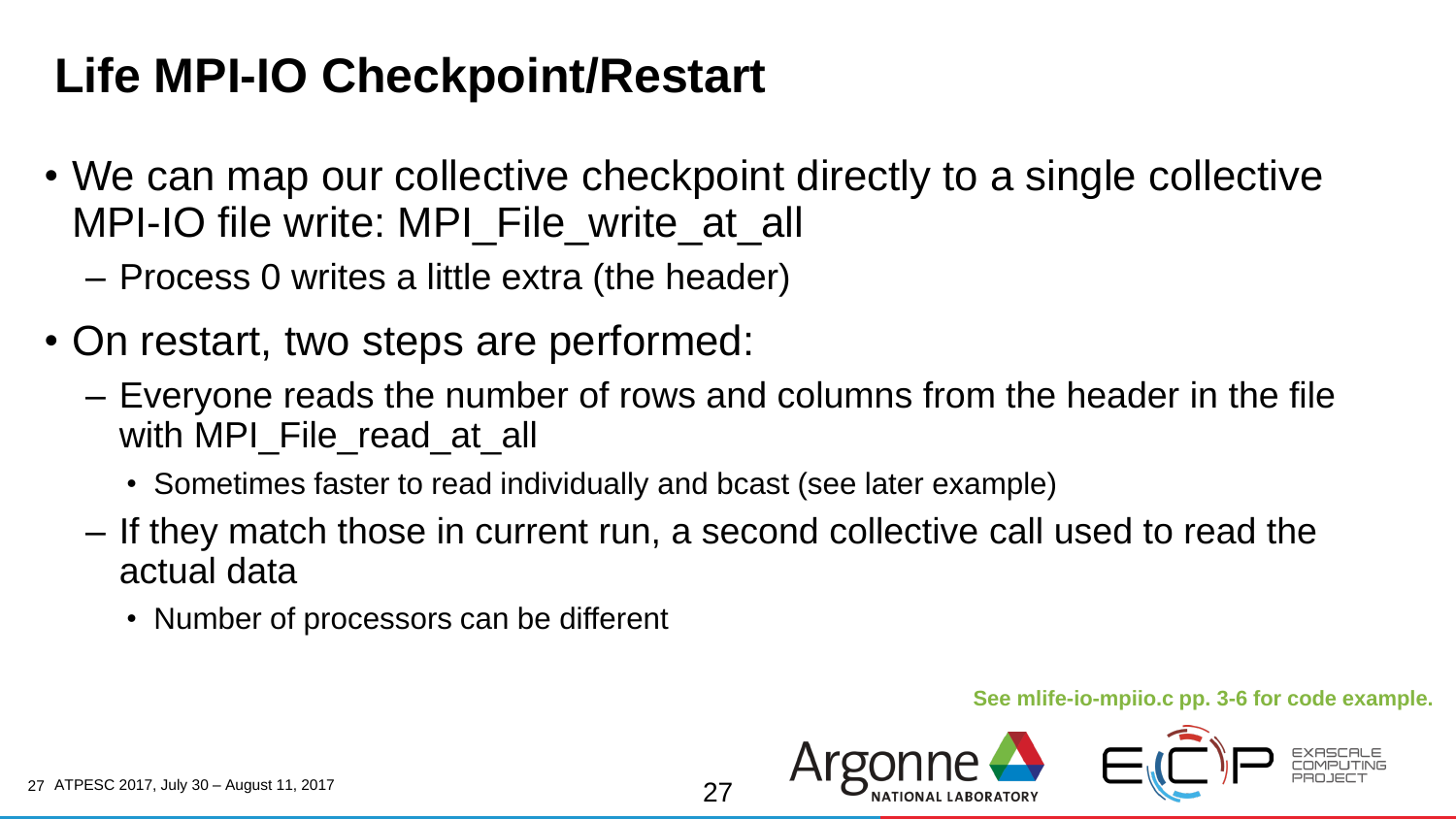### **Life MPI-IO Checkpoint/Restart**

- We can map our collective checkpoint directly to a single collective MPI-IO file write: MPI\_File\_write\_at\_all
	- Process 0 writes a little extra (the header)
- On restart, two steps are performed:
	- Everyone reads the number of rows and columns from the header in the file with MPI File read at all
		- Sometimes faster to read individually and bcast (see later example)
	- If they match those in current run, a second collective call used to read the actual data
		- Number of processors can be different

#### **See mlife-io-mpiio.c pp. 3-6 for code example.**

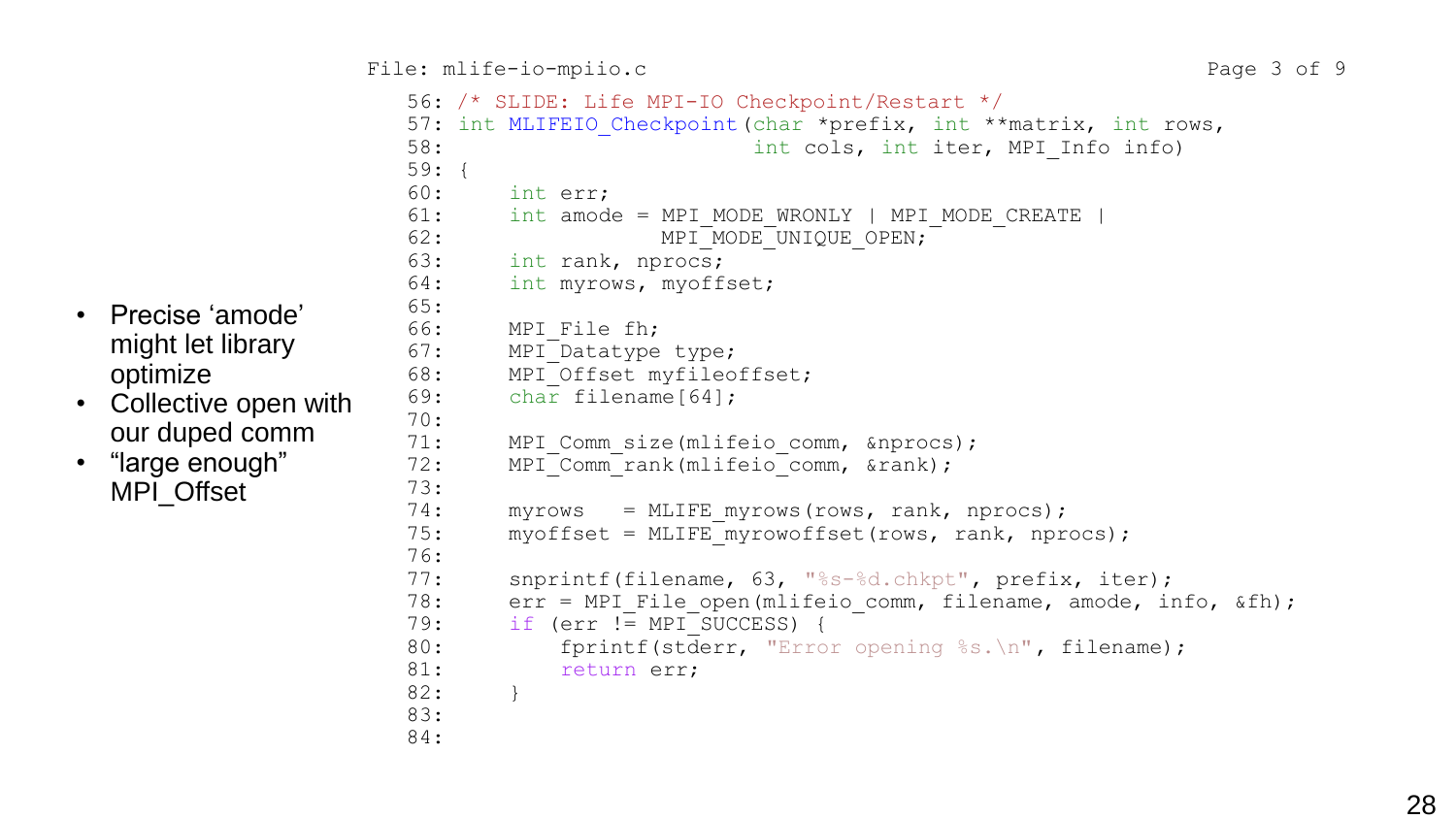```
 56: /* SLIDE: Life MPI-IO Checkpoint/Restart */
                     57: int MLIFEIO Checkpoint (char *prefix, int **matrix, int rows,
                     58: Some int cols, int iter, MPI Info info)
                     59: {
                     60: int err;
                     61: int amode = MPI_MODE_WRONLY | MPI_MODE_CREATE |
                     62: MPI_MODE_UNIQUE_OPEN;
                     63: int rank, nprocs;
                     64: int myrows, myoffset;
                     65:
                     66: MPI_File fh;
                     67: MPI<sup>D</sup>atatype type;
                     68: MPI Offset myfileoffset;
                     69: char filename[64];
                     70:
                     71: MPI Comm size(mlifeio comm, &nprocs);
                     72: MPI Comm rank(mlifeio comm, &rank);
                     73:
                     74: myrows = MLIFE myrows(rows, rank, nprocs);
                     75: myoffset = MLIFE myrowoffset(rows, rank, nprocs);
                     76:
                     77: snprintf(filename, 63, "%s-%d.chkpt", prefix, iter);
                     78: err = MPI File open(mlifeio comm, filename, amode, info, &fh);
                     79: if (err := MPI SUCCESS) {
                     80: fprintf(stderr, "Error opening %s. \n", filename);
                     81: return err;
                     82: }
                     83:
                     84: 28 • Precise 'amode'
```
- might let library optimize
- Collective open with our duped comm
- "large enough" MPI\_Offset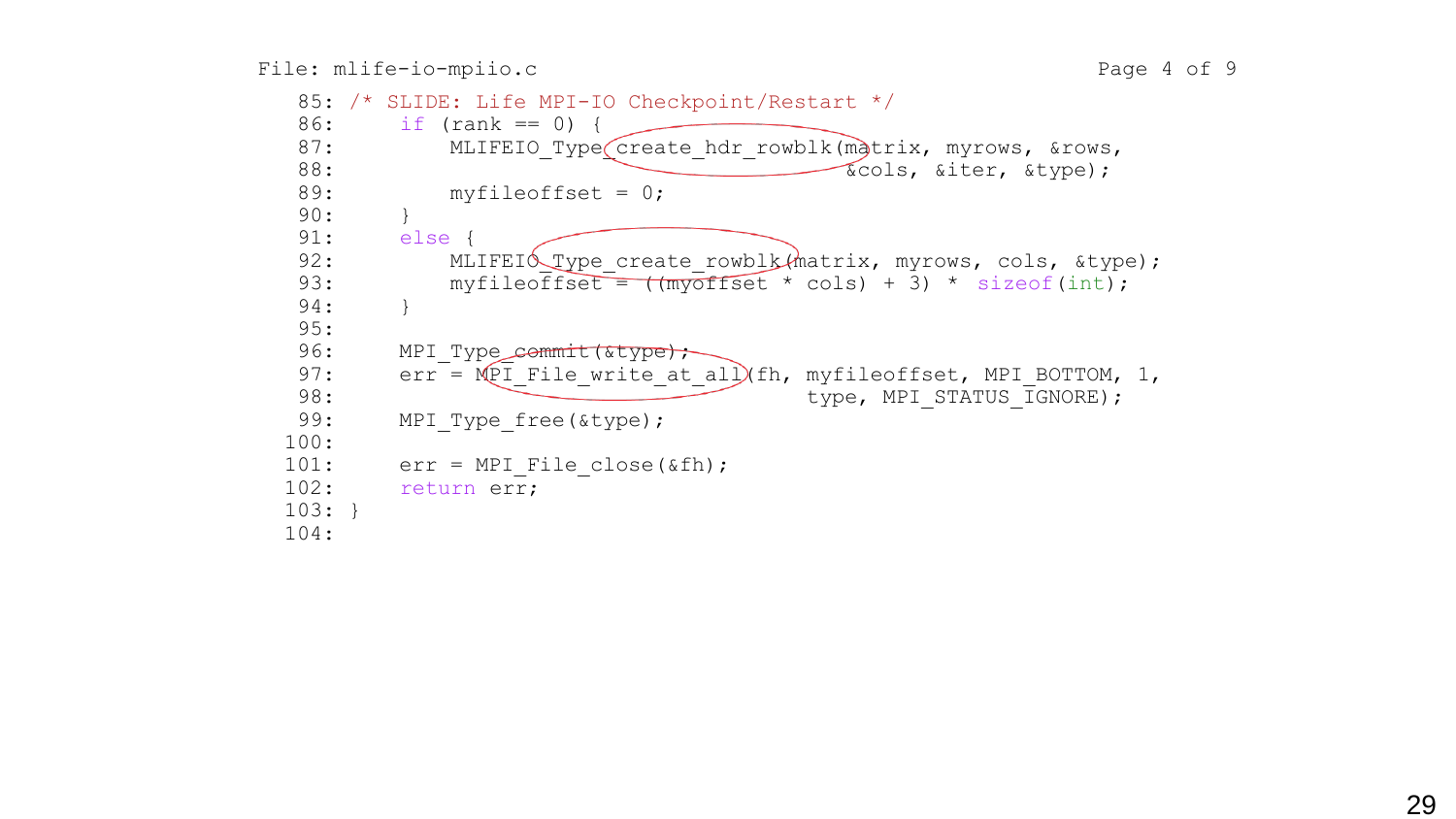```
85: /* SLIDE: Life MPI-IO Checkpoint/Restart */
 86: if (rank == 0) {
 87: MLIFEIO Type create hdr rowblk(matrix, myrows, &rows,
 88: \overline{\text{kcols}}, \overline{\text{circle}}, \overline{\text{style}}89: myfileoffset = 0;
 90: }
 91: else {
 92: MLIFEIO Type create rowblk(matrix, myrows, cols, &type);
 93: myfileoffset = (m\overline{y}offset * cols) + 3) * sizeof(int);
 94: }
 95:
 96: MPI Type_commit(&type);
 97: err = MPI File write at all (fh, myfileoffset, MPI BOTTOM, 1,
 98: type, MPI STATUS IGNORE);
 99: MPI Type free(&type);
100:
101: err = MPI File close(\deltafh);
102: return err;
103: }
104:
```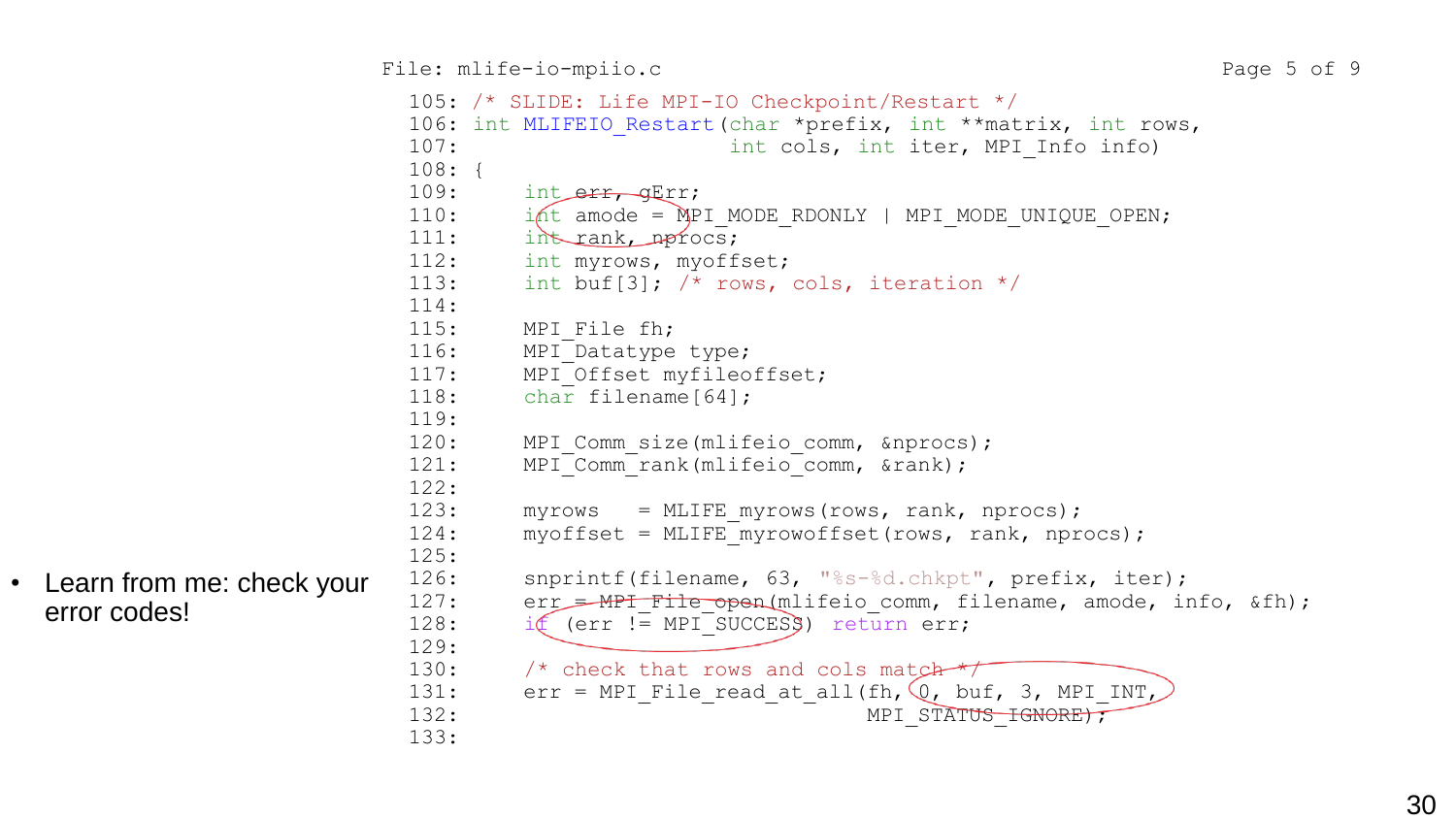```
 105: /* SLIDE: Life MPI-IO Checkpoint/Restart */
                                 106: int MLIFEIO Restart (char *prefix, int **matrix, int rows,
                                 107: the cols, int iter, MPI Info info)
                                 108: {
                                 109: int err, gErr;
                                 110: i int amode = MPI_MODE_RDONLY | MPI_MODE_UNIQUE_OPEN;
                                 111: int rank, nprocs;
                                 112: int myrows, myoffset;
                                 113: int buf[3]; \prime\star rows, cols, iteration \prime\prime114:
                                 115: MPI File fh;
                                 116: MPI Datatype type;
                                 117: MPI Offset myfileoffset;
                                 118: char filename[64];
                                 119:
                                 120: MPI Comm size(mlifeio comm, &nprocs);
                                 121: MPI<sup>-</sup>Comm<sup>-</sup>rank(mlifeio<sup>-</sup>comm, &rank);
                                 122:
                                 123: myrows = MLIFE myrows(rows, rank, nprocs);
                                 124: myoffset = MLIFE myrowoffset(rows, rank, nprocs);
                                 125:
                                 126: snprintf(filename, 63, "%s-%d.chkpt", prefix, iter);
                                 127: err = MPI File open(mlifeio comm, filename, amode, info, &fh);
                                 128: if (err \mid \equiv MPI SUCCESS) return err;
                                 129:
                                 130: /* check that rows and cols match *131: err = MPI File_read_at_all(fh, \mathbb{Q}_r buf, 3, MPI_INT<sub>L</sub>
                                 132: - - - - - MPI STATUS IGNORE);
                                 133: • Learn from me: check your 126: sprintf(filename, 63, "$s-$d.chkpt", prefix, iter);<br>error codes!<br>127: err = MPI_File_poen(mlifteio_comm, filename, amode, info, &fh);<br>129:<br>130: /* check that rows and cols match<br>1
```
error codes!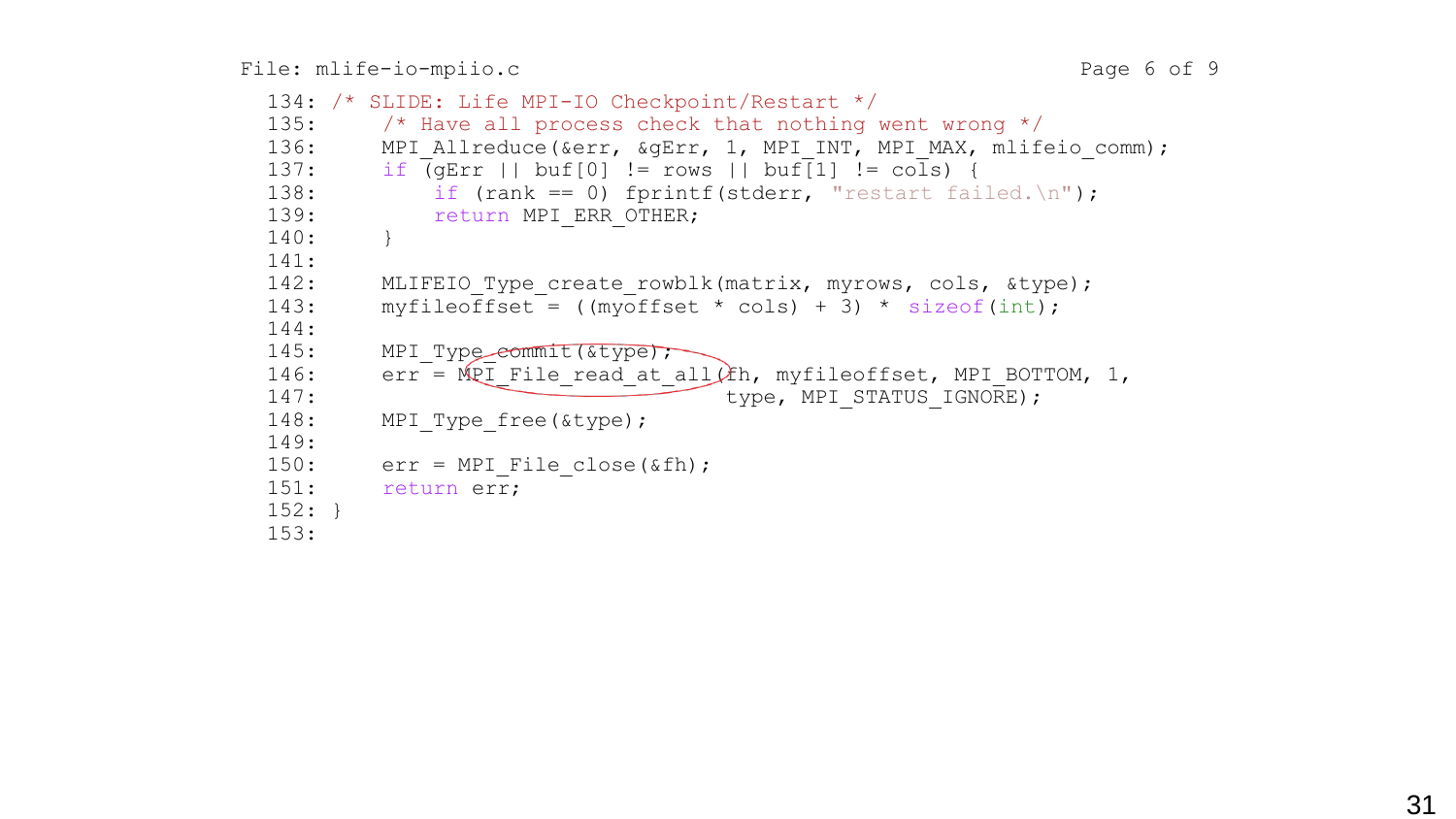```
134: /* SLIDE: Life MPI-IO Checkpoint/Restart */
135: \frac{1}{3} /* Have all process check that nothing went wrong \frac{1}{3}136: MPI Allreduce(&err, &gErr, 1, MPI INT, MPI MAX, mlifeio comm);
137: if \overline{Q} \overline{C} \overline{C} \overline{C} \overline{C} \overline{C} \overline{C} \overline{C} \overline{C} \overline{C} \overline{C} \overline{C} \overline{C} \overline{C} \overline{C} \overline{C} \overline{C} \overline{C} \overline{C} \overline{C} \overline{C} \overline{C} \overline{C} \overline{C138: if (rank == 0) fprintf(stderr, "restart failed.\ln");
139: return MPI ERR OTHER;
140: }
141:
142: MLIFEIO Type create rowblk(matrix, myrows, cols, &type);
143: myfileoffset = ((myoffset * coils) + 3) * sizeof(int);144:
145: MPI Type<del>_commit(&type);</del>
146: err = MPI File read at all(kh, mVfileoffset, MPI BOTTOM, 1,147: type, MPI STATUS IGNORE);
148: MPI Type free(&type);
149:
150: err = MPI File close(\deltafh);
151: return err;
152: }
153:
```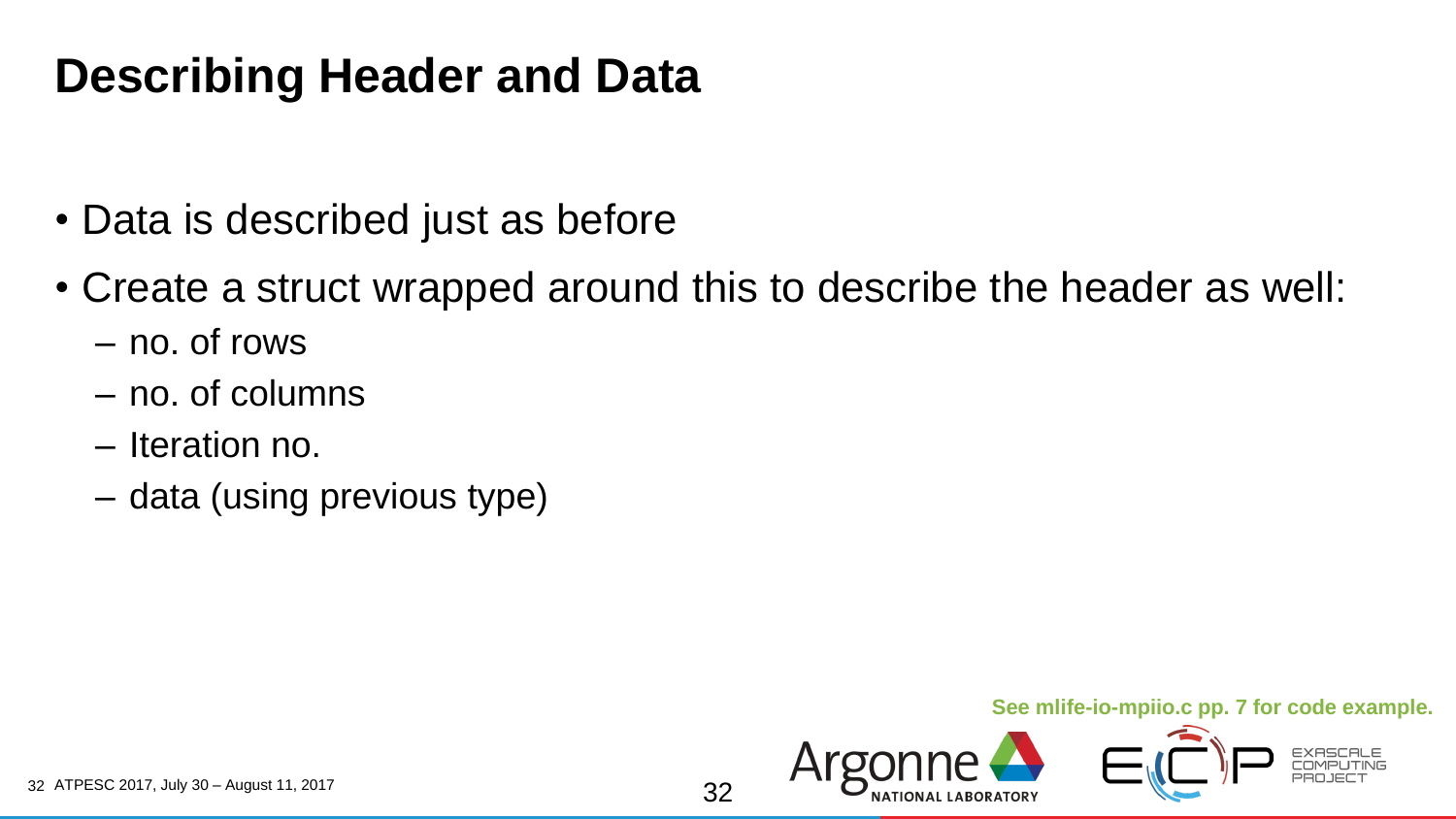#### **Describing Header and Data**

- Data is described just as before
- Create a struct wrapped around this to describe the header as well:
	- no. of rows
	- no. of columns
	- Iteration no.
	- data (using previous type)

#### **See mlife-io-mpiio.c pp. 7 for code example.**

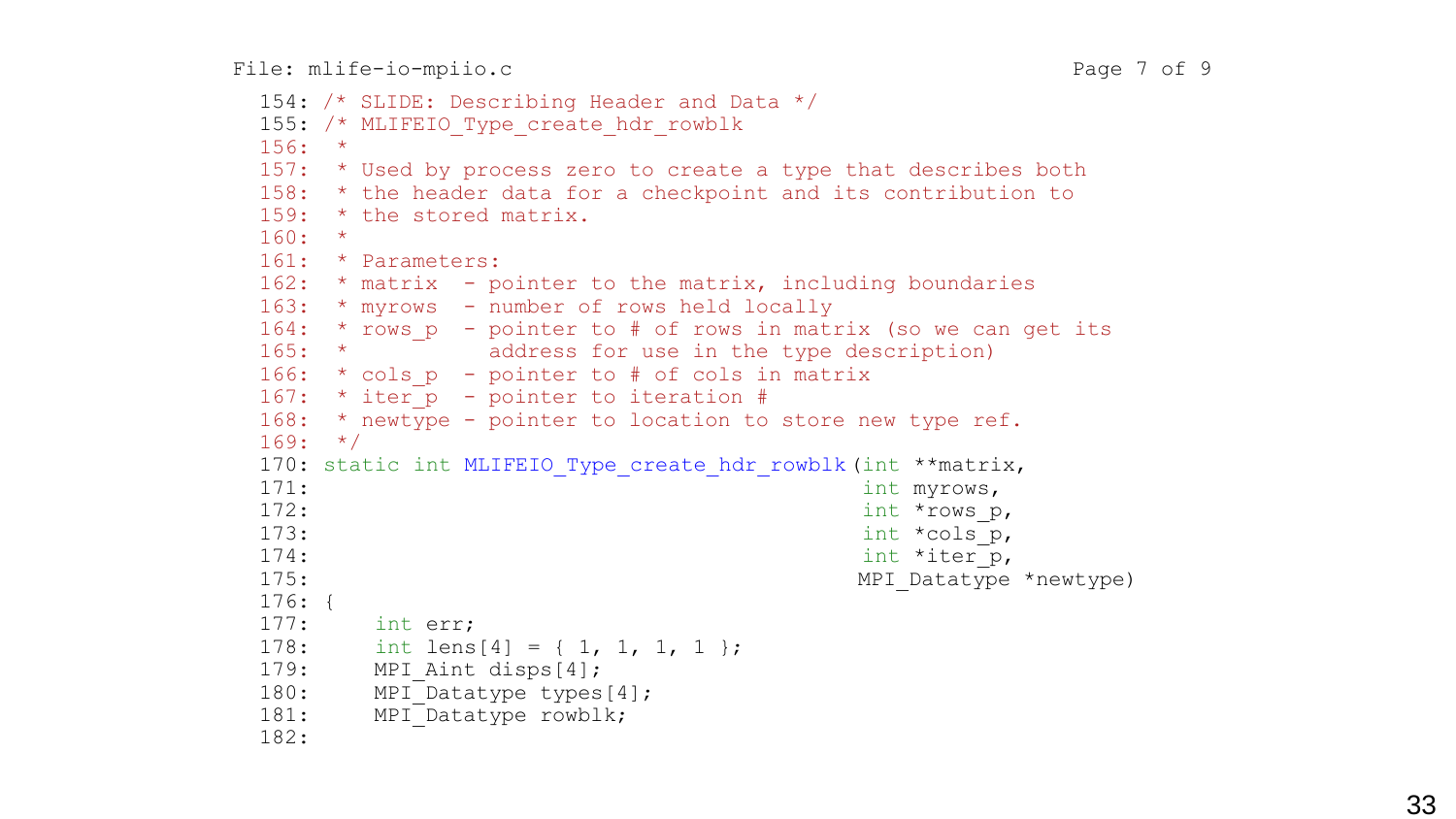File: mlife-io-mpiio.c Page 7 of 9

```
 154: /* SLIDE: Describing Header and Data */
155: /* MLIFEIO Type create hdr rowblk
156: *
157: * Used by process zero to create a type that describes both
158: * the header data for a checkpoint and its contribution to
159: * the stored matrix.
160: *
161: * Parameters:
162: * matrix - pointer to the matrix, including boundaries
163: * myrows - number of rows held locally
164: * rows p - pointer to # of rows in matrix (so we can get its
165: * address for use in the type description)
166: * cols p - pointer to # of cols in matrix
167: * iter p - pointer to iteration #
168: * newtype - pointer to location to store new type ref.
169: */
170: static int MLIFEIO Type create hdr rowblk (int **matrix,
171: \frac{1}{2} int myrows,
172: \qquad \qquad int *rows p,
173: \qquad \qquad int *cols p,
174: \frac{174}{1000}175: And the set of the set of the MPI Datatype *newtype) and MPI Datatype MPI176: {
177: int err;
178: int lens[4] = { 1, 1, 1, 1 };
179: MPI Aint disps[4];
180: MPI Datatype types[4];
181: MPI Datatype rowblk;
182:
```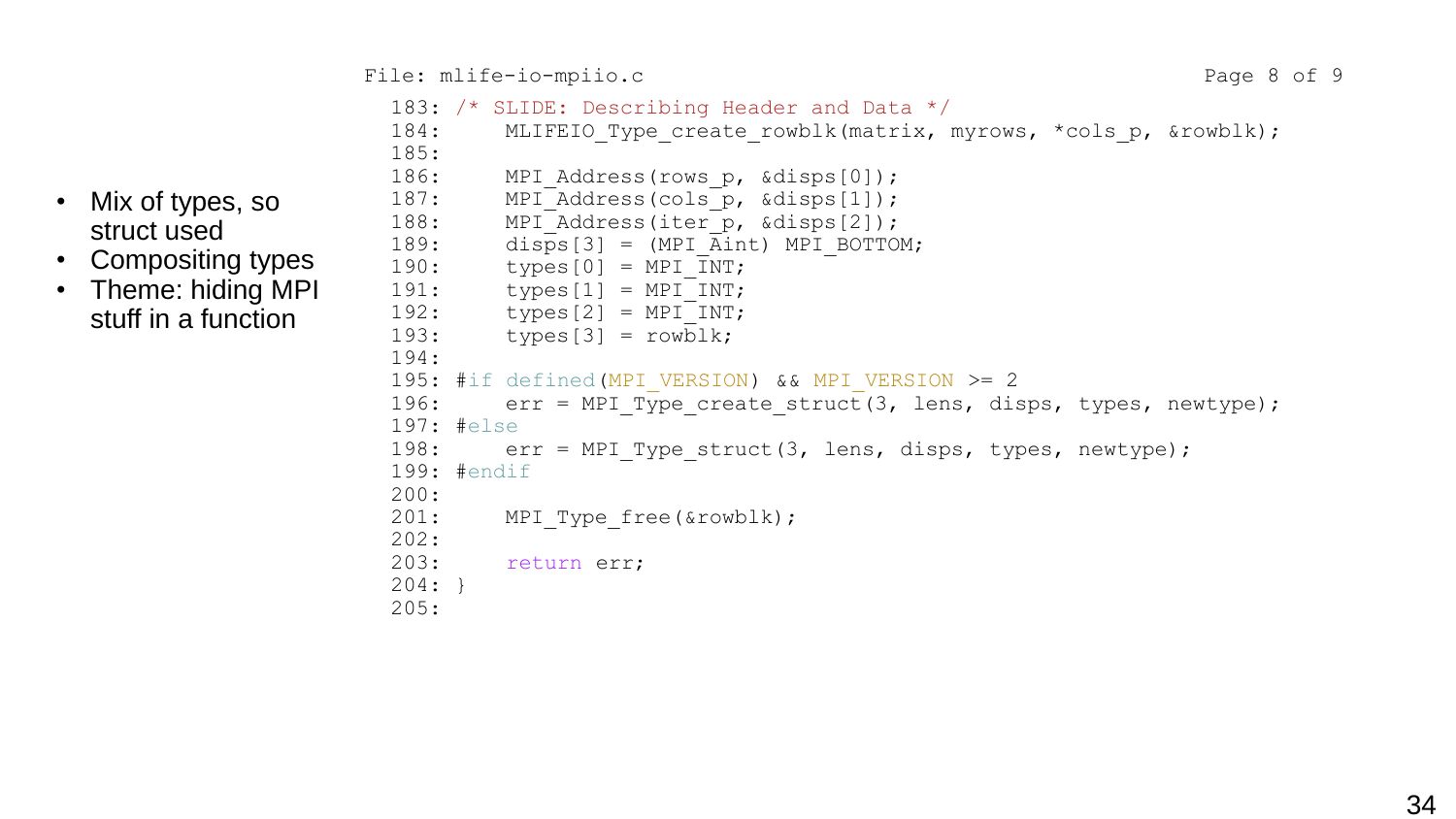183: /\* SLIDE: Describing Header and Data \*/

- Mix of types, so struct used
- Compositing types
- Theme: hiding MPI stuff in a function

```
184: MLIFEIO Type create rowblk(matrix, myrows, *cols p, &rowblk);
185: 
186: MPI Address(rows p, &disps[0]);
187: MPI Address(cols p, &disps[1]);
188: MPI Address(iter p, &disps[2]);
189: disps[3] = (MPI_Aint) MPI_BOTTOM;
190: types[0] = MPI INT;
191: types[1] = MPI INT;
192: types[2] = MPI INT;
193: types[3] = rowblk;194:
195: #if defined (MPI VERSION) && MPI VERSION >= 2
196: err = MPI Type create struct(3, lens, disps, types, newtype);
197: #else
198: err = MPI Type struct(3, lens, disps, types, newtype);
199: #endif
200:
201: MPI Type free(&rowblk);
202:
203: return err;
204: }
205:
```